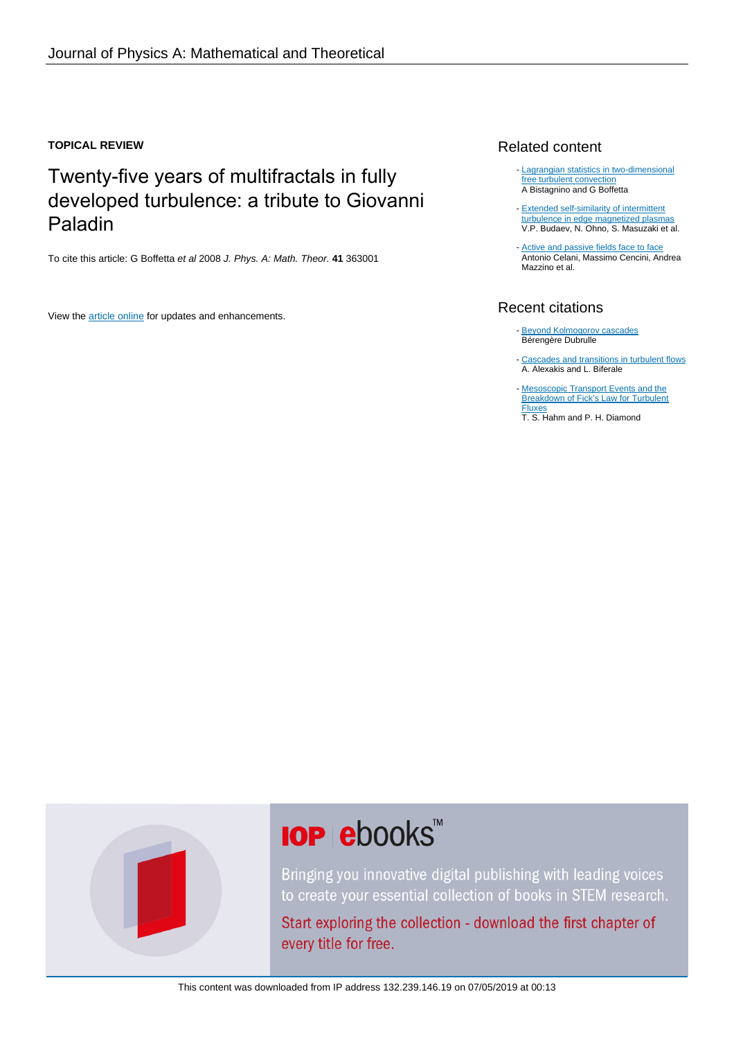### **TOPICAL REVIEW**

# Twenty-five years of multifractals in fully developed turbulence: a tribute to Giovanni Paladin

To cite this article: G Boffetta et al 2008 J. Phys. A: Math. Theor. **41** 363001

View the [article online](https://doi.org/10.1088/1751-8113/41/36/363001) for updates and enhancements.

## Related content

- [Lagrangian statistics in two-dimensional](http://iopscience.iop.org/article/10.1088/1367-2630/10/7/075018) [free turbulent convection](http://iopscience.iop.org/article/10.1088/1367-2630/10/7/075018) A Bistagnino and G Boffetta
- **[Extended self-similarity of intermittent](http://iopscience.iop.org/article/10.1088/0029-5515/48/2/024014)** [turbulence in edge magnetized plasmas](http://iopscience.iop.org/article/10.1088/0029-5515/48/2/024014) V.P. Budaev, N. Ohno, S. Masuzaki et al.
- [Active and passive fields face to face](http://iopscience.iop.org/article/10.1088/1367-2630/6/1/072) Antonio Celani, Massimo Cencini, Andrea Mazzino et al.

## Recent citations

- [Beyond Kolmogorov cascades](http://dx.doi.org/10.1017/jfm.2019.98) Bérengère Dubrulle
- [Cascades and transitions in turbulent flows](http://dx.doi.org/10.1016/j.physrep.2018.08.001) A. Alexakis and L. Biferale -
- [Mesoscopic Transport Events and the](http://dx.doi.org/10.3938/jkps.73.747) **[Breakdown of Fick's Law for Turbulent](http://dx.doi.org/10.3938/jkps.73.747)** [Fluxes](http://dx.doi.org/10.3938/jkps.73.747)
- T. S. Hahm and P. H. Diamond



# **IOP ebooks**™

Bringing you innovative digital publishing with leading voices to create your essential collection of books in STEM research.

Start exploring the collection - download the first chapter of every title for free.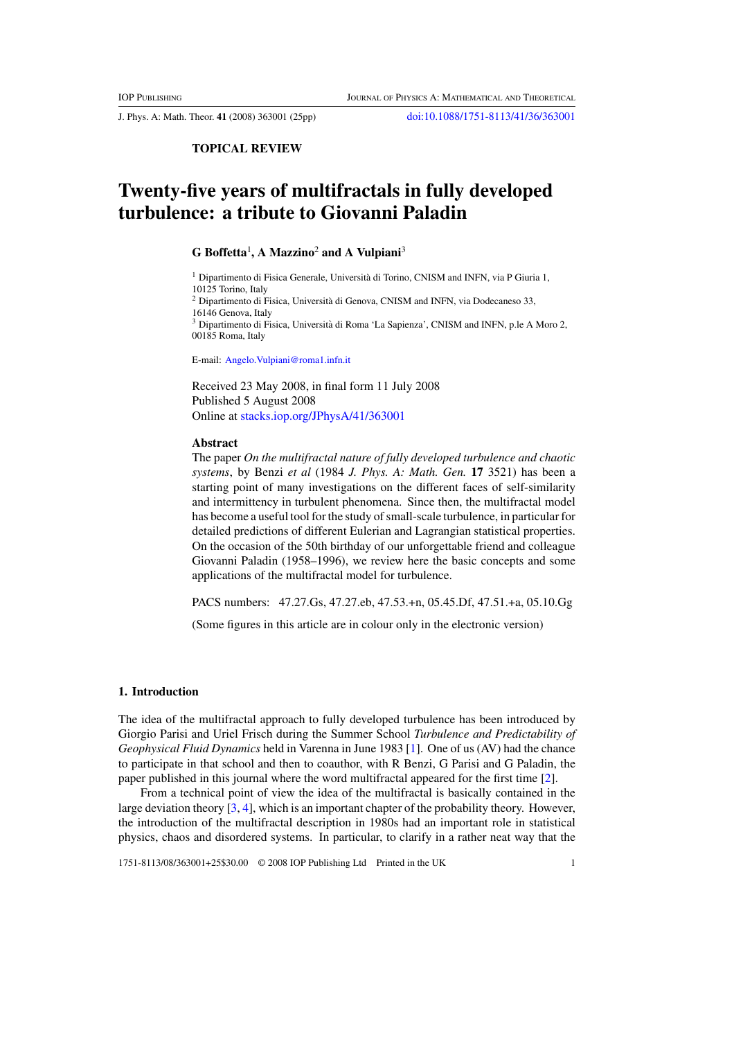J. Phys. A: Math. Theor. **41** (2008) 363001 (25pp) [doi:10.1088/1751-8113/41/36/363001](http://dx.doi.org/10.1088/1751-8113/41/36/363001)

#### **TOPICAL REVIEW**

# **Twenty-five years of multifractals in fully developed turbulence: a tribute to Giovanni Paladin**

#### **G Boffetta**<sup>1</sup> **, A Mazzino**<sup>2</sup> **and A Vulpiani**<sup>3</sup>

<sup>1</sup> Dipartimento di Fisica Generale, Università di Torino, CNISM and INFN, via P Giuria 1, 10125 Torino, Italy <sup>2</sup> Dipartimento di Fisica, Universita di Genova, CNISM and INFN, via Dodecaneso 33, ` 16146 Genova, Italy <sup>3</sup> Dipartimento di Fisica, Universita di Roma 'La Sapienza', CNISM and INFN, p.le A Moro 2, ` 00185 Roma, Italy

E-mail: [Angelo.Vulpiani@roma1.infn.it](mailto:Angelo.Vulpiani@roma1.infn.it)

Received 23 May 2008, in final form 11 July 2008 Published 5 August 2008 Online at [stacks.iop.org/JPhysA/41/363001](http://stacks.iop.org/JPhysA/41/363001)

#### **Abstract**

The paper *On the multifractal nature of fully developed turbulence and chaotic systems*, by Benzi *et al* (1984 *J. Phys. A: Math. Gen.* **17** 3521) has been a starting point of many investigations on the different faces of self-similarity and intermittency in turbulent phenomena. Since then, the multifractal model has become a useful tool for the study of small-scale turbulence, in particular for detailed predictions of different Eulerian and Lagrangian statistical properties. On the occasion of the 50th birthday of our unforgettable friend and colleague Giovanni Paladin (1958–1996), we review here the basic concepts and some applications of the multifractal model for turbulence.

PACS numbers: 47.27.Gs, 47.27.eb, 47.53.+n, 05.45.Df, 47.51.+a, 05.10.Gg

(Some figures in this article are in colour only in the electronic version)

#### **1. Introduction**

The idea of the multifractal approach to fully developed turbulence has been introduced by Giorgio Parisi and Uriel Frisch during the Summer School *Turbulence and Predictability of Geophysical Fluid Dynamics* held in Varenna in June 1983 [\[1](#page-24-0)]. One of us (AV) had the chance to participate in that school and then to coauthor, with R Benzi, G Parisi and G Paladin, the paper published in this journal where the word multifractal appeared for the first time [\[2\]](#page-24-0).

From a technical point of view the idea of the multifractal is basically contained in the large deviation theory [\[3](#page-24-0), [4\]](#page-24-0), which is an important chapter of the probability theory. However, the introduction of the multifractal description in 1980s had an important role in statistical physics, chaos and disordered systems. In particular, to clarify in a rather neat way that the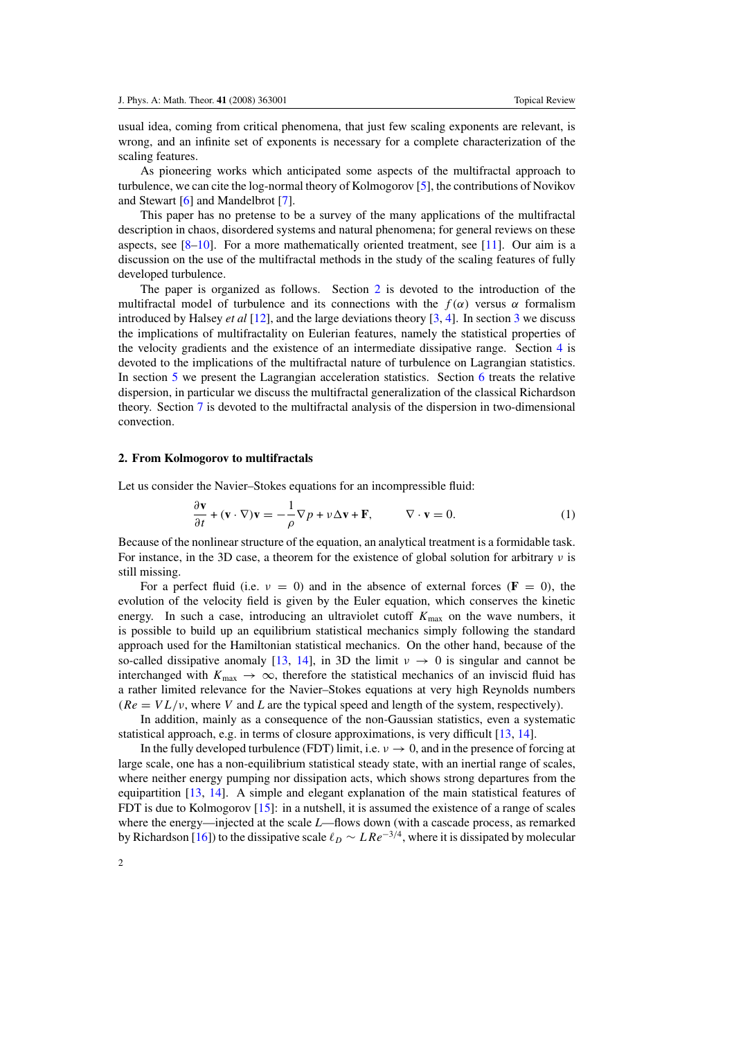usual idea, coming from critical phenomena, that just few scaling exponents are relevant, is wrong, and an infinite set of exponents is necessary for a complete characterization of the scaling features.

As pioneering works which anticipated some aspects of the multifractal approach to turbulence, we can cite the log-normal theory of Kolmogorov [\[5\]](#page-24-0), the contributions of Novikov and Stewart [\[6\]](#page-24-0) and Mandelbrot [\[7\]](#page-24-0).

This paper has no pretense to be a survey of the many applications of the multifractal description in chaos, disordered systems and natural phenomena; for general reviews on these aspects, see  $[8-10]$ . For a more mathematically oriented treatment, see [\[11](#page-24-0)]. Our aim is a discussion on the use of the multifractal methods in the study of the scaling features of fully developed turbulence.

The paper is organized as follows. Section 2 is devoted to the introduction of the multifractal model of turbulence and its connections with the  $f(\alpha)$  versus  $\alpha$  formalism introduced by Halsey *et al* [\[12\]](#page-24-0), and the large deviations theory [\[3](#page-24-0), [4](#page-24-0)]. In section [3](#page-7-0) we discuss the implications of multifractality on Eulerian features, namely the statistical properties of the velocity gradients and the existence of an intermediate dissipative range. Section [4](#page-11-0) is devoted to the implications of the multifractal nature of turbulence on Lagrangian statistics. In section [5](#page-15-0) we present the Lagrangian acceleration statistics. Section [6](#page-17-0) treats the relative dispersion, in particular we discuss the multifractal generalization of the classical Richardson theory. Section [7](#page-20-0) is devoted to the multifractal analysis of the dispersion in two-dimensional convection.

#### **2. From Kolmogorov to multifractals**

Let us consider the Navier–Stokes equations for an incompressible fluid:

$$
\frac{\partial \mathbf{v}}{\partial t} + (\mathbf{v} \cdot \nabla) \mathbf{v} = -\frac{1}{\rho} \nabla p + \nu \Delta \mathbf{v} + \mathbf{F}, \qquad \nabla \cdot \mathbf{v} = 0.
$$
 (1)

Because of the nonlinear structure of the equation, an analytical treatment is a formidable task. For instance, in the 3D case, a theorem for the existence of global solution for arbitrary *ν* is still missing.

For a perfect fluid (i.e.  $v = 0$ ) and in the absence of external forces  $(\mathbf{F} = 0)$ , the evolution of the velocity field is given by the Euler equation, which conserves the kinetic energy. In such a case, introducing an ultraviolet cutoff  $K_{\text{max}}$  on the wave numbers, it is possible to build up an equilibrium statistical mechanics simply following the standard approach used for the Hamiltonian statistical mechanics. On the other hand, because of the so-called dissipative anomaly [\[13,](#page-24-0) [14](#page-24-0)], in 3D the limit  $\nu \rightarrow 0$  is singular and cannot be interchanged with  $K_{\text{max}} \rightarrow \infty$ , therefore the statistical mechanics of an inviscid fluid has a rather limited relevance for the Navier–Stokes equations at very high Reynolds numbers  $(Re = V L/\nu)$ , where *V* and *L* are the typical speed and length of the system, respectively).

In addition, mainly as a consequence of the non-Gaussian statistics, even a systematic statistical approach, e.g. in terms of closure approximations, is very difficult [\[13,](#page-24-0) [14\]](#page-24-0).

In the fully developed turbulence (FDT) limit, i.e.  $\nu \rightarrow 0$ , and in the presence of forcing at large scale, one has a non-equilibrium statistical steady state, with an inertial range of scales, where neither energy pumping nor dissipation acts, which shows strong departures from the equipartition [\[13,](#page-24-0) [14\]](#page-24-0). A simple and elegant explanation of the main statistical features of FDT is due to Kolmogorov [\[15](#page-24-0)]: in a nutshell, it is assumed the existence of a range of scales where the energy—injected at the scale *L*—flows down (with a cascade process, as remarked by Richardson [\[16](#page-24-0)]) to the dissipative scale  $\ell_D \sim LRe^{-3/4}$ , where it is dissipated by molecular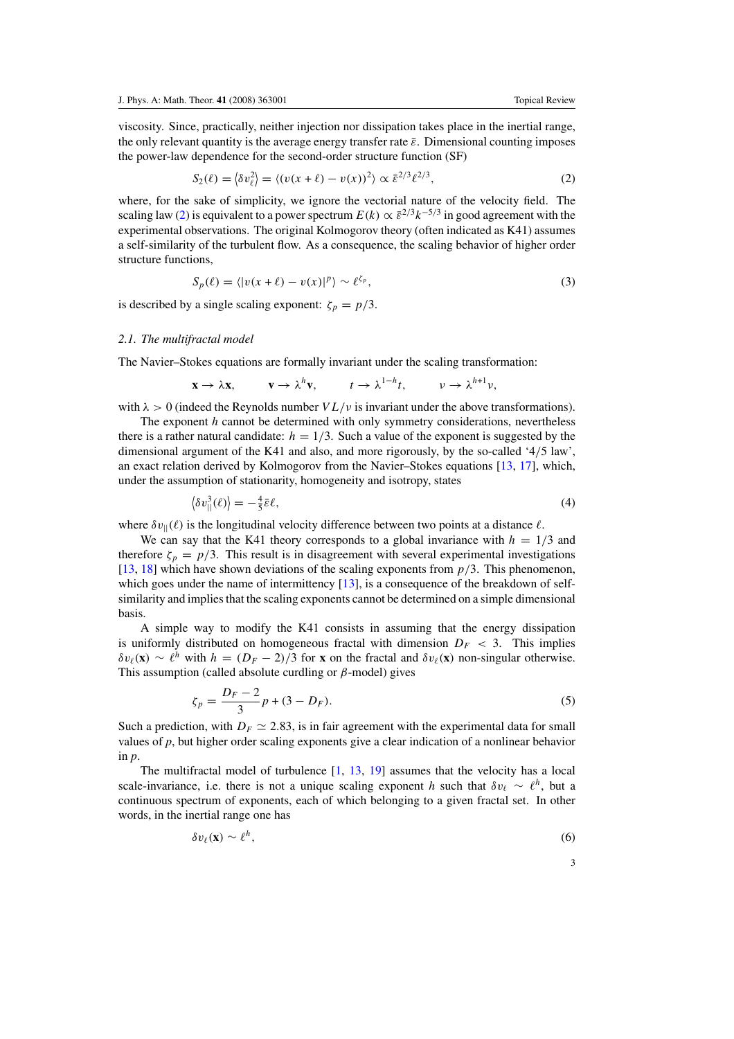<span id="page-3-0"></span>viscosity. Since, practically, neither injection nor dissipation takes place in the inertial range, the only relevant quantity is the average energy transfer rate  $\bar{\varepsilon}$ . Dimensional counting imposes the power-law dependence for the second-order structure function (SF)

$$
S_2(\ell) = \langle \delta v_\ell^2 \rangle = \langle (v(x + \ell) - v(x))^2 \rangle \propto \bar{\varepsilon}^{2/3} \ell^{2/3}, \tag{2}
$$

where, for the sake of simplicity, we ignore the vectorial nature of the velocity field. The scaling law (2) is equivalent to a power spectrum  $E(k) \propto \bar{\varepsilon}^{2/3} k^{-5/3}$  in good agreement with the experimental observations. The original Kolmogorov theory (often indicated as K41) assumes a self-similarity of the turbulent flow. As a consequence, the scaling behavior of higher order structure functions,

$$
S_p(\ell) = \langle |v(x+\ell) - v(x)|^p \rangle \sim \ell^{\zeta_p},\tag{3}
$$

is described by a single scaling exponent:  $\zeta_p = p/3$ .

#### *2.1. The multifractal model*

The Navier–Stokes equations are formally invariant under the scaling transformation:

$$
\mathbf{x} \to \lambda \mathbf{x}, \qquad \mathbf{v} \to \lambda^h \mathbf{v}, \qquad t \to \lambda^{1-h} t, \qquad \nu \to \lambda^{h+1} \nu,
$$

with  $\lambda > 0$  (indeed the Reynolds number  $VL/\nu$  is invariant under the above transformations).

The exponent *h* cannot be determined with only symmetry considerations, nevertheless there is a rather natural candidate:  $h = 1/3$ . Such a value of the exponent is suggested by the dimensional argument of the K41 and also, and more rigorously, by the so-called '4*/*5 law', an exact relation derived by Kolmogorov from the Navier–Stokes equations [\[13,](#page-24-0) [17](#page-24-0)], which, under the assumption of stationarity, homogeneity and isotropy, states

$$
\langle \delta v_{\parallel}^3(\ell) \rangle = -\frac{4}{5} \bar{\varepsilon} \ell, \tag{4}
$$

where  $\delta v_{\parallel}(\ell)$  is the longitudinal velocity difference between two points at a distance  $\ell$ .

We can say that the K41 theory corresponds to a global invariance with  $h = 1/3$  and therefore  $\zeta_p = p/3$ . This result is in disagreement with several experimental investigations [\[13](#page-24-0), [18](#page-24-0)] which have shown deviations of the scaling exponents from *p/*3. This phenomenon, which goes under the name of intermittency [\[13\]](#page-24-0), is a consequence of the breakdown of selfsimilarity and implies that the scaling exponents cannot be determined on a simple dimensional basis.

A simple way to modify the K41 consists in assuming that the energy dissipation is uniformly distributed on homogeneous fractal with dimension  $D_F < 3$ . This implies  $\delta v_{\ell}(\mathbf{x}) \sim \ell^{h}$  with  $h = (D_F - 2)/3$  for **x** on the fractal and  $\delta v_{\ell}(\mathbf{x})$  non-singular otherwise. This assumption (called absolute curdling or *β*-model) gives

$$
\zeta_p = \frac{D_F - 2}{3}p + (3 - D_F). \tag{5}
$$

Such a prediction, with  $D_F \simeq 2.83$ , is in fair agreement with the experimental data for small values of  $p$ , but higher order scaling exponents give a clear indication of a nonlinear behavior in *p*.

The multifractal model of turbulence [\[1,](#page-24-0) [13](#page-24-0), [19](#page-24-0)] assumes that the velocity has a local scale-invariance, i.e. there is not a unique scaling exponent *h* such that  $\delta v_\ell \sim \ell^h$ , but a continuous spectrum of exponents, each of which belonging to a given fractal set. In other words, in the inertial range one has

$$
\delta v_{\ell}(\mathbf{x}) \sim \ell^{h},\tag{6}
$$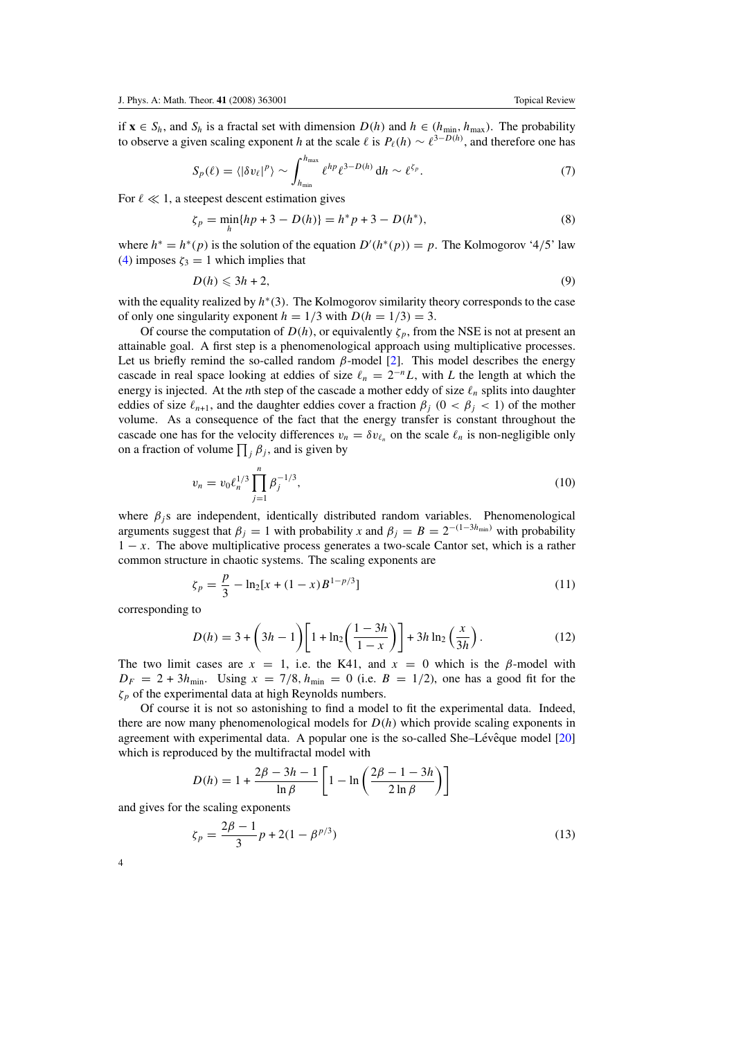$$
S_p(\ell) = \langle |\delta v_\ell|^p \rangle \sim \int_{h_{\min}}^{h_{\max}} \ell^{hp} \ell^{3-D(h)} \, dh \sim \ell^{\zeta_p}.
$$
 (7)

<span id="page-4-0"></span>For  $\ell \ll 1$ , a steepest descent estimation gives

$$
\zeta_p = \min_h \{ hp + 3 - D(h) \} = h^* p + 3 - D(h^*),\tag{8}
$$

where  $h^* = h^*(p)$  is the solution of the equation  $D'(h^*(p)) = p$ . The Kolmogorov '4/5' law [\(4\)](#page-3-0) imposes  $\zeta_3 = 1$  which implies that

$$
D(h) \leqslant 3h + 2,\tag{9}
$$

with the equality realized by *h*<sup>∗</sup>(3). The Kolmogorov similarity theory corresponds to the case of only one singularity exponent  $h = 1/3$  with  $D(h = 1/3) = 3$ .

Of course the computation of  $D(h)$ , or equivalently  $\zeta_n$ , from the NSE is not at present an attainable goal. A first step is a phenomenological approach using multiplicative processes. Let us briefly remind the so-called random  $\beta$ -model [\[2\]](#page-24-0). This model describes the energy cascade in real space looking at eddies of size  $\ell_n = 2^{-n}L$ , with *L* the length at which the energy is injected. At the *n*th step of the cascade a mother eddy of size  $\ell_n$  splits into daughter eddies of size  $\ell_{n+1}$ , and the daughter eddies cover a fraction  $\beta_i$  ( $0 < \beta_i < 1$ ) of the mother volume. As a consequence of the fact that the energy transfer is constant throughout the cascade one has for the velocity differences  $v_n = \delta v_{\ell_n}$  on the scale  $\ell_n$  is non-negligible only on a fraction of volume  $\prod_j \beta_j$ , and is given by

$$
v_n = v_0 \ell_n^{1/3} \prod_{j=1}^n \beta_j^{-1/3},\tag{10}
$$

where  $\beta_i$  s are independent, identically distributed random variables. Phenomenological arguments suggest that  $\beta_j = 1$  with probability *x* and  $\beta_j = B = 2^{-(1-3h_{min})}$  with probability 1 − *x*. The above multiplicative process generates a two-scale Cantor set, which is a rather common structure in chaotic systems. The scaling exponents are

$$
\zeta_p = \frac{p}{3} - \ln_2[x + (1 - x)B^{1 - p/3}] \tag{11}
$$

corresponding to

$$
D(h) = 3 + \left(3h - 1\right) \left[1 + \ln_2\left(\frac{1 - 3h}{1 - x}\right)\right] + 3h \ln_2\left(\frac{x}{3h}\right). \tag{12}
$$

The two limit cases are  $x = 1$ , i.e. the K41, and  $x = 0$  which is the *β*-model with  $D_F = 2 + 3h_{\text{min}}$ . Using  $x = 7/8$ ,  $h_{\text{min}} = 0$  (i.e.  $B = 1/2$ ), one has a good fit for the *ζp* of the experimental data at high Reynolds numbers.

Of course it is not so astonishing to find a model to fit the experimental data. Indeed, there are now many phenomenological models for  $D(h)$  which provide scaling exponents in agreement with experimental data. A popular one is the so-called She-Lévê que model  $[20]$  $[20]$  $[20]$ which is reproduced by the multifractal model with

$$
D(h) = 1 + \frac{2\beta - 3h - 1}{\ln \beta} \left[ 1 - \ln \left( \frac{2\beta - 1 - 3h}{2\ln \beta} \right) \right]
$$

and gives for the scaling exponents

$$
\zeta_p = \frac{2\beta - 1}{3}p + 2(1 - \beta^{p/3})\tag{13}
$$

4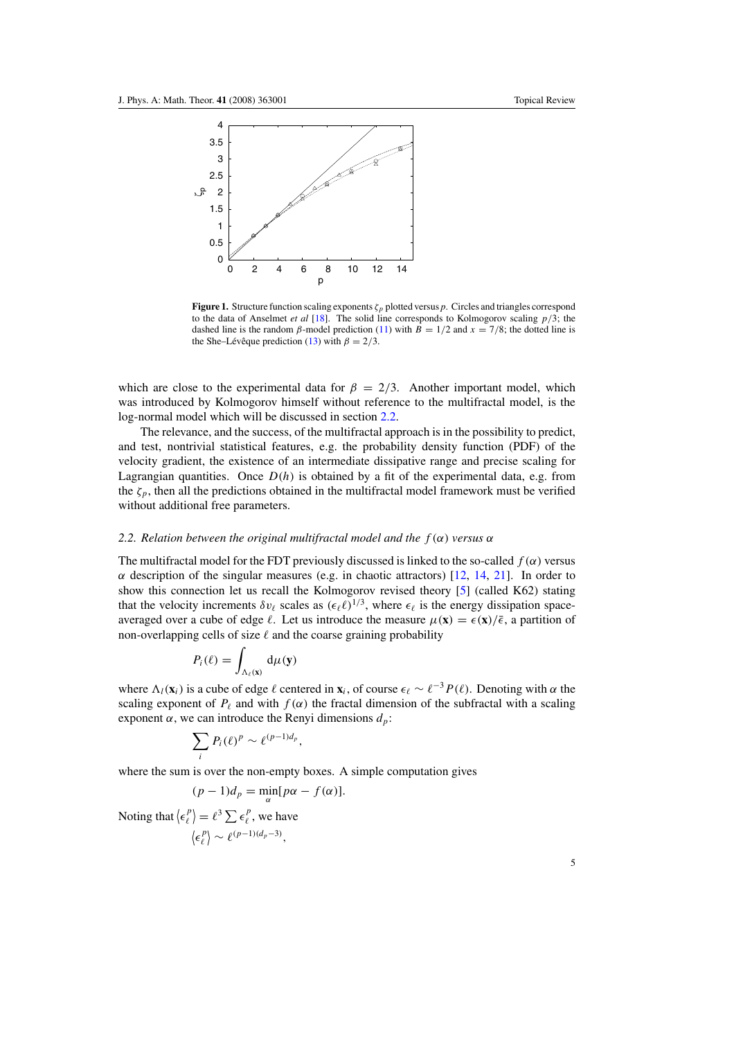

**Figure 1.** Structure function scaling exponents *ζp* plotted versus *p*. Circles and triangles correspond to the data of Anselmet *et al* [\[18](#page-24-0)]. The solid line corresponds to Kolmogorov scaling *p/*3; the dashed line is the random *β*-model prediction [\(11\)](#page-4-0) with  $B = 1/2$  and  $x = 7/8$ ; the dotted line is the She–Lévê que prediction ([13\)](#page-4-0) with  $\beta = 2/3$ .

which are close to the experimental data for  $\beta = 2/3$ . Another important model, which was introduced by Kolmogorov himself without reference to the multifractal model, is the log-normal model which will be discussed in section 2.2.

The relevance, and the success, of the multifractal approach is in the possibility to predict, and test, nontrivial statistical features, e.g. the probability density function (PDF) of the velocity gradient, the existence of an intermediate dissipative range and precise scaling for Lagrangian quantities. Once  $D(h)$  is obtained by a fit of the experimental data, e.g. from the  $\zeta_p$ , then all the predictions obtained in the multifractal model framework must be verified without additional free parameters.

#### *2.2. Relation between the original multifractal model and the f (α) versus α*

The multifractal model for the FDT previously discussed is linked to the so-called  $f(\alpha)$  versus *α* description of the singular measures (e.g. in chaotic attractors)  $[12, 14, 21]$  $[12, 14, 21]$  $[12, 14, 21]$  $[12, 14, 21]$  $[12, 14, 21]$  $[12, 14, 21]$ . In order to show this connection let us recall the Kolmogorov revised theory [\[5\]](#page-24-0) (called K62) stating that the velocity increments  $\delta v_\ell$  scales as  $(\epsilon_\ell \ell)^{1/3}$ , where  $\epsilon_\ell$  is the energy dissipation spaceaveraged over a cube of edge  $\ell$ . Let us introduce the measure  $\mu(\mathbf{x}) = \epsilon(\mathbf{x})/\bar{\epsilon}$ , a partition of non-overlapping cells of size  $\ell$  and the coarse graining probability

$$
P_i(\ell) = \int_{\Lambda_{\ell}(\mathbf{x})} \mathrm{d}\mu(\mathbf{y})
$$

where  $\Lambda_l(\mathbf{x}_i)$  is a cube of edge  $\ell$  centered in  $\mathbf{x}_i$ , of course  $\epsilon_\ell \sim \ell^{-3} P(\ell)$ . Denoting with  $\alpha$  the scaling exponent of  $P_\ell$  and with  $f(\alpha)$  the fractal dimension of the subfractal with a scaling exponent  $\alpha$ , we can introduce the Renyi dimensions  $d_p$ :

$$
\sum_i P_i(\ell)^p \sim \ell^{(p-1)d_p},
$$

where the sum is over the non-empty boxes. A simple computation gives

$$
(p-1)d_p = \min_{\alpha} [p\alpha - f(\alpha)].
$$

Noting that  $\langle \epsilon_{\ell}^p \rangle = \ell^3 \sum \epsilon_{\ell}^p$ , we have  $\langle \epsilon_{\ell}^p \rangle \sim \ell^{(p-1)(d_p-3)},$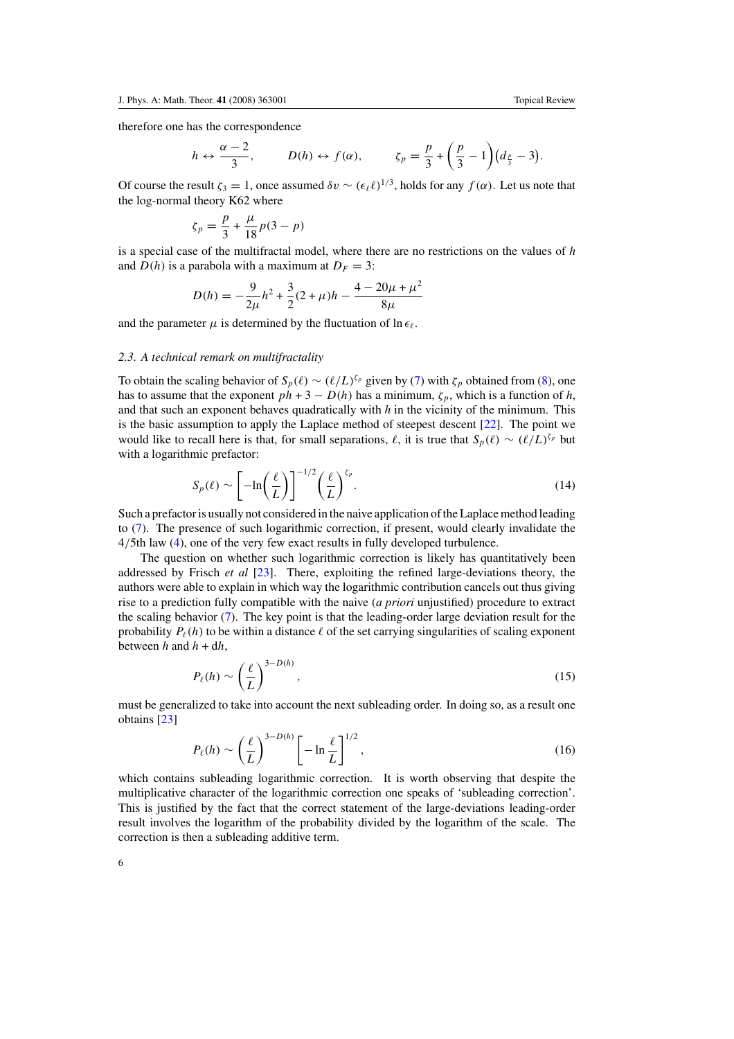<span id="page-6-0"></span>therefore one has the correspondence

$$
h \leftrightarrow \frac{\alpha-2}{3}, \qquad D(h) \leftrightarrow f(\alpha), \qquad \zeta_p = \frac{p}{3} + \left(\frac{p}{3} - 1\right)(d_{\frac{p}{3}} - 3).
$$

Of course the result  $\zeta_3 = 1$ , once assumed  $\delta v \sim (\epsilon_\ell \ell)^{1/3}$ , holds for any  $f(\alpha)$ . Let us note that the log-normal theory K62 where

$$
\zeta_p = \frac{p}{3} + \frac{\mu}{18}p(3-p)
$$

is a special case of the multifractal model, where there are no restrictions on the values of *h* and  $D(h)$  is a parabola with a maximum at  $D_F = 3$ :

$$
D(h) = -\frac{9}{2\mu}h^2 + \frac{3}{2}(2+\mu)h - \frac{4-20\mu+\mu^2}{8\mu}
$$

and the parameter  $\mu$  is determined by the fluctuation of  $\ln \epsilon_{\ell}$ .

#### *2.3. A technical remark on multifractality*

To obtain the scaling behavior of  $S_p(\ell) \sim (\ell/L)^{\zeta_p}$  given by [\(7\)](#page-4-0) with  $\zeta_p$  obtained from [\(8\)](#page-4-0), one has to assume that the exponent  $ph + 3 - D(h)$  has a minimum,  $\zeta_p$ , which is a function of *h*, and that such an exponent behaves quadratically with *h* in the vicinity of the minimum. This is the basic assumption to apply the Laplace method of steepest descent [\[22](#page-24-0)]. The point we would like to recall here is that, for small separations,  $\ell$ , it is true that  $S_n(\ell) \sim (\ell/L)^{\zeta_p}$  but with a logarithmic prefactor:

$$
S_p(\ell) \sim \left[ -\ln\left(\frac{\ell}{L}\right) \right]^{-1/2} \left(\frac{\ell}{L}\right)^{\zeta_p}.
$$
 (14)

Such a prefactor is usually not considered in the naive application of the Laplace method leading to [\(7\)](#page-4-0). The presence of such logarithmic correction, if present, would clearly invalidate the 4*/*5th law [\(4\)](#page-3-0), one of the very few exact results in fully developed turbulence.

The question on whether such logarithmic correction is likely has quantitatively been addressed by Frisch *et al* [\[23](#page-24-0)]. There, exploiting the refined large-deviations theory, the authors were able to explain in which way the logarithmic contribution cancels out thus giving rise to a prediction fully compatible with the naive (*a priori* unjustified) procedure to extract the scaling behavior [\(7\)](#page-4-0). The key point is that the leading-order large deviation result for the probability  $P_{\ell}(h)$  to be within a distance  $\ell$  of the set carrying singularities of scaling exponent between  $h$  and  $h + dh$ ,

$$
P_{\ell}(h) \sim \left(\frac{\ell}{L}\right)^{3-D(h)},\tag{15}
$$

must be generalized to take into account the next subleading order. In doing so, as a result one obtains [\[23](#page-24-0)]

$$
P_{\ell}(h) \sim \left(\frac{\ell}{L}\right)^{3-D(h)} \left[-\ln\frac{\ell}{L}\right]^{1/2},\tag{16}
$$

which contains subleading logarithmic correction. It is worth observing that despite the multiplicative character of the logarithmic correction one speaks of 'subleading correction'. This is justified by the fact that the correct statement of the large-deviations leading-order result involves the logarithm of the probability divided by the logarithm of the scale. The correction is then a subleading additive term.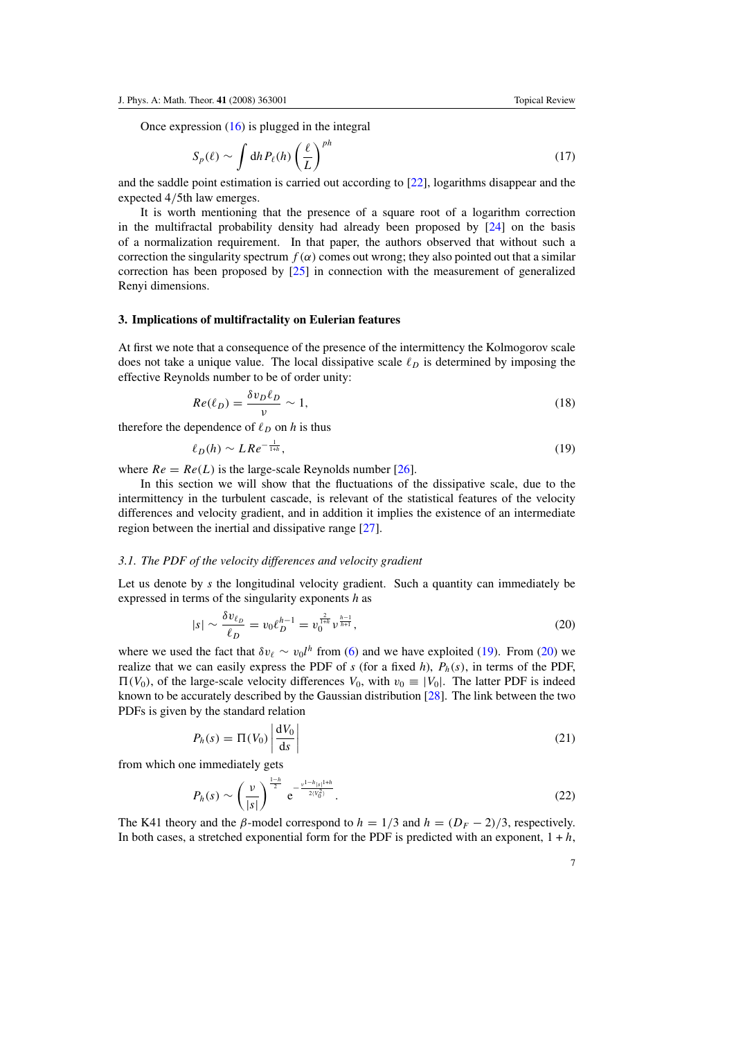<span id="page-7-0"></span>Once expression [\(16\)](#page-6-0) is plugged in the integral

$$
S_p(\ell) \sim \int \mathrm{d}h \, P_\ell(h) \left(\frac{\ell}{L}\right)^{ph} \tag{17}
$$

and the saddle point estimation is carried out according to [\[22](#page-24-0)], logarithms disappear and the expected 4*/*5th law emerges.

It is worth mentioning that the presence of a square root of a logarithm correction in the multifractal probability density had already been proposed by [\[24](#page-24-0)] on the basis of a normalization requirement. In that paper, the authors observed that without such a correction the singularity spectrum  $f(\alpha)$  comes out wrong; they also pointed out that a similar correction has been proposed by [\[25\]](#page-24-0) in connection with the measurement of generalized Renyi dimensions.

#### **3. Implications of multifractality on Eulerian features**

At first we note that a consequence of the presence of the intermittency the Kolmogorov scale does not take a unique value. The local dissipative scale  $\ell_p$  is determined by imposing the effective Reynolds number to be of order unity:

$$
Re(\ell_D) = \frac{\delta v_D \ell_D}{\nu} \sim 1,\tag{18}
$$

therefore the dependence of  $\ell_D$  on *h* is thus

$$
\ell_D(h) \sim LRe^{-\frac{1}{1+h}},\tag{19}
$$

where  $Re = Re(L)$  is the large-scale Reynolds number [\[26](#page-24-0)].

In this section we will show that the fluctuations of the dissipative scale, due to the intermittency in the turbulent cascade, is relevant of the statistical features of the velocity differences and velocity gradient, and in addition it implies the existence of an intermediate region between the inertial and dissipative range [\[27](#page-24-0)].

#### *3.1. The PDF of the velocity differences and velocity gradient*

Let us denote by *s* the longitudinal velocity gradient. Such a quantity can immediately be expressed in terms of the singularity exponents *h* as

$$
|s| \sim \frac{\delta v_{\ell_D}}{\ell_D} = v_0 \ell_D^{h-1} = v_0^{\frac{2}{1+h}} v_{\frac{h+1}{h+1}},\tag{20}
$$

where we used the fact that  $\delta v_{\ell} \sim v_0 l^h$  from [\(6\)](#page-3-0) and we have exploited (19). From (20) we realize that we can easily express the PDF of  $s$  (for a fixed  $h$ ),  $P_h(s)$ , in terms of the PDF,  $\Pi(V_0)$ , of the large-scale velocity differences  $V_0$ , with  $v_0 \equiv |V_0|$ . The latter PDF is indeed known to be accurately described by the Gaussian distribution [\[28](#page-24-0)]. The link between the two PDFs is given by the standard relation

$$
P_h(s) = \Pi(V_0) \left| \frac{\mathrm{d}V_0}{\mathrm{d}s} \right| \tag{21}
$$

from which one immediately gets

$$
P_h(s) \sim \left(\frac{\nu}{|s|}\right)^{\frac{1-h}{2}} e^{-\frac{\nu^{1-h}|s|^{1+h}}{2(V_0^2)}}.
$$
 (22)

The K41 theory and the *β*-model correspond to  $h = 1/3$  and  $h = (D<sub>F</sub> - 2)/3$ , respectively. In both cases, a stretched exponential form for the PDF is predicted with an exponent,  $1 + h$ ,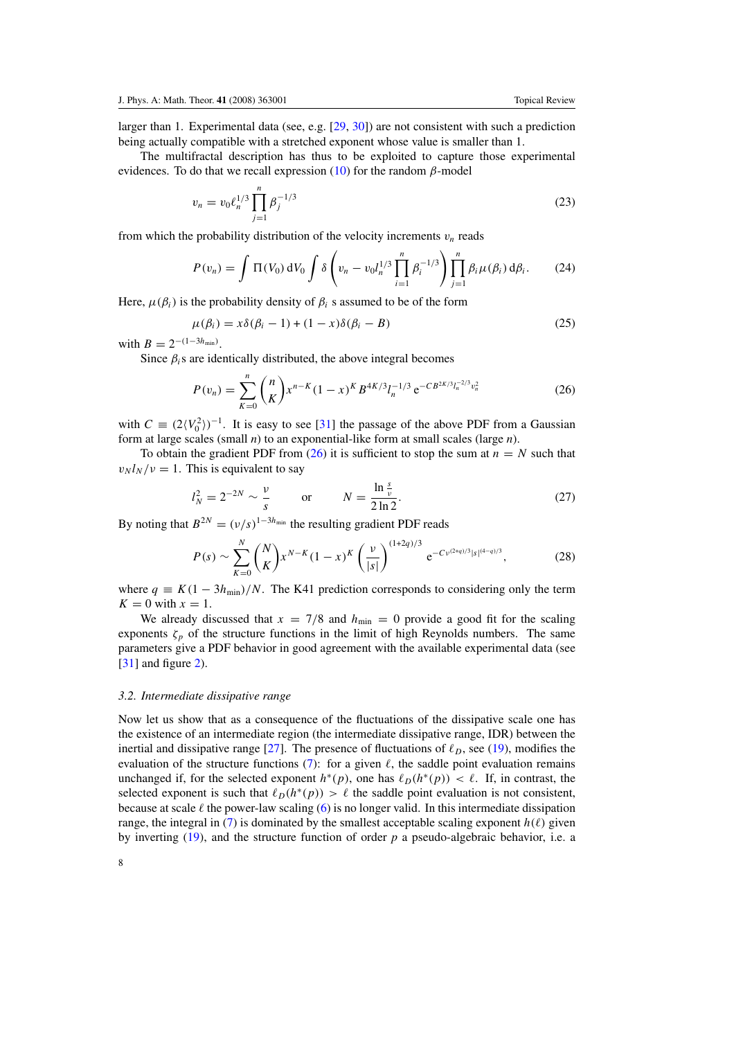larger than 1. Experimental data (see, e.g. [\[29](#page-25-0), [30\]](#page-25-0)) are not consistent with such a prediction being actually compatible with a stretched exponent whose value is smaller than 1.

The multifractal description has thus to be exploited to capture those experimental evidences. To do that we recall expression [\(10\)](#page-4-0) for the random *β*-model

$$
v_n = v_0 \ell_n^{1/3} \prod_{j=1}^n \beta_j^{-1/3} \tag{23}
$$

from which the probability distribution of the velocity increments  $v_n$  reads

$$
P(v_n) = \int \Pi(V_0) \, dV_0 \int \delta \left( v_n - v_0 l_n^{1/3} \prod_{i=1}^n \beta_i^{-1/3} \right) \prod_{j=1}^n \beta_i \mu(\beta_i) \, d\beta_i. \tag{24}
$$

Here,  $\mu(\beta_i)$  is the probability density of  $\beta_i$  s assumed to be of the form

$$
\mu(\beta_i) = x\delta(\beta_i - 1) + (1 - x)\delta(\beta_i - B) \tag{25}
$$

with  $B = 2^{-(1-3h_{\min})}$ .

Since  $\beta_i$ s are identically distributed, the above integral becomes

$$
P(v_n) = \sum_{K=0}^{n} {n \choose K} x^{n-K} (1-x)^K B^{4K/3} l_n^{-1/3} e^{-CB^{2K/3} l_n^{-2/3} v_n^2}
$$
 (26)

with  $C \equiv (2\langle V_0^2 \rangle)^{-1}$ . It is easy to see [\[31\]](#page-25-0) the passage of the above PDF from a Gaussian form at large scales (small *n*) to an exponential-like form at small scales (large *n*).

To obtain the gradient PDF from  $(26)$  it is sufficient to stop the sum at  $n = N$  such that  $v_N l_N / v = 1$ . This is equivalent to say

$$
l_N^2 = 2^{-2N} \sim \frac{v}{s} \qquad \text{or} \qquad N = \frac{\ln \frac{s}{v}}{2\ln 2}.
$$
 (27)

By noting that  $B^{2N} = (\nu/s)^{1-3h_{min}}$  the resulting gradient PDF reads

$$
P(s) \sim \sum_{K=0}^{N} {N \choose K} x^{N-K} (1-x)^K \left(\frac{\nu}{|s|}\right)^{(1+2q)/3} e^{-C \nu^{(2+q)/3} |s|^{(4-q)/3}}, \tag{28}
$$

where  $q \equiv K(1 - 3h_{\text{min}})/N$ . The K41 prediction corresponds to considering only the term  $K = 0$  with  $x = 1$ .

We already discussed that  $x = 7/8$  and  $h_{\text{min}} = 0$  provide a good fit for the scaling exponents  $\zeta_p$  of the structure functions in the limit of high Reynolds numbers. The same parameters give a PDF behavior in good agreement with the available experimental data (see [\[31](#page-25-0)] and figure [2\)](#page-9-0).

#### *3.2. Intermediate dissipative range*

Now let us show that as a consequence of the fluctuations of the dissipative scale one has the existence of an intermediate region (the intermediate dissipative range, IDR) between the inertial and dissipative range [\[27\]](#page-24-0). The presence of fluctuations of  $\ell_p$ , see [\(19\)](#page-7-0), modifies the evaluation of the structure functions [\(7\)](#page-4-0): for a given  $\ell$ , the saddle point evaluation remains unchanged if, for the selected exponent  $h^*(p)$ , one has  $\ell_D(h^*(p)) < \ell$ . If, in contrast, the selected exponent is such that  $\ell_D(h^*(p)) > \ell$  the saddle point evaluation is not consistent, because at scale  $\ell$  the power-law scaling [\(6\)](#page-3-0) is no longer valid. In this intermediate dissipation range, the integral in [\(7\)](#page-4-0) is dominated by the smallest acceptable scaling exponent  $h(\ell)$  given by inverting [\(19\)](#page-7-0), and the structure function of order *p* a pseudo-algebraic behavior, i.e. a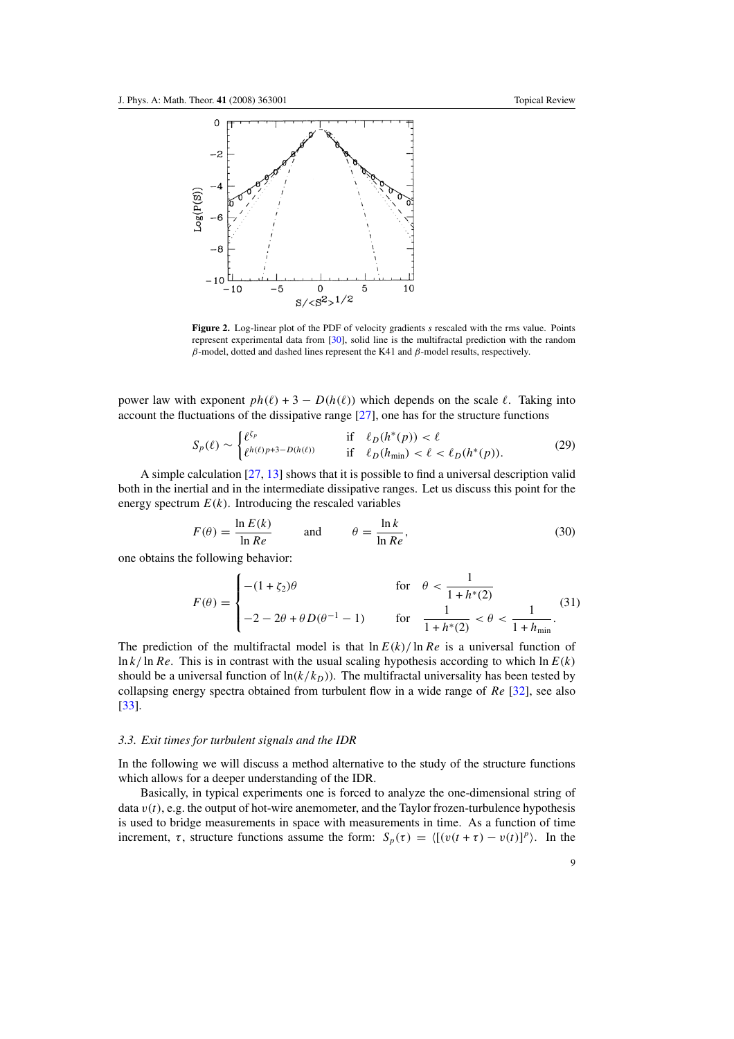<span id="page-9-0"></span>

**Figure 2.** Log-linear plot of the PDF of velocity gradients *s* rescaled with the rms value. Points represent experimental data from [\[30\]](#page-25-0), solid line is the multifractal prediction with the random *β*-model, dotted and dashed lines represent the K41 and *β*-model results, respectively.

power law with exponent  $ph(\ell) + 3 - D(h(\ell))$  which depends on the scale  $\ell$ . Taking into account the fluctuations of the dissipative range [\[27](#page-24-0)], one has for the structure functions

$$
S_p(\ell) \sim \begin{cases} \ell^{\zeta_p} & \text{if } \ell_D(h^*(p)) < \ell \\ \ell^{h(\ell)p+3-D(h(\ell))} & \text{if } \ell_D(h_{\min}) < \ell < \ell_D(h^*(p)). \end{cases} \tag{29}
$$

A simple calculation [\[27](#page-24-0), [13](#page-24-0)] shows that it is possible to find a universal description valid both in the inertial and in the intermediate dissipative ranges. Let us discuss this point for the energy spectrum  $E(k)$ . Introducing the rescaled variables

$$
F(\theta) = \frac{\ln E(k)}{\ln Re} \quad \text{and} \quad \theta = \frac{\ln k}{\ln Re}, \tag{30}
$$

one obtains the following behavior:

$$
F(\theta) = \begin{cases} -(1 + \zeta_2)\theta & \text{for } \theta < \frac{1}{1 + h^*(2)} \\ -2 - 2\theta + \theta D(\theta^{-1} - 1) & \text{for } \frac{1}{1 + h^*(2)} < \theta < \frac{1}{1 + h_{\min}}. \end{cases}
$$
(31)

The prediction of the multifractal model is that  $\ln E(k)/\ln Re$  is a universal function of  $\ln k / \ln Re$ . This is in contrast with the usual scaling hypothesis according to which  $\ln E(k)$ should be a universal function of  $ln(k/k_D)$ ). The multifractal universality has been tested by collapsing energy spectra obtained from turbulent flow in a wide range of *Re* [\[32\]](#page-25-0), see also [\[33](#page-25-0)].

#### *3.3. Exit times for turbulent signals and the IDR*

In the following we will discuss a method alternative to the study of the structure functions which allows for a deeper understanding of the IDR.

Basically, in typical experiments one is forced to analyze the one-dimensional string of data  $v(t)$ , e.g. the output of hot-wire anemometer, and the Taylor frozen-turbulence hypothesis is used to bridge measurements in space with measurements in time. As a function of time increment,  $\tau$ , structure functions assume the form:  $S_p(\tau) = \langle [(v(t + \tau) - v(t))]^p \rangle$ . In the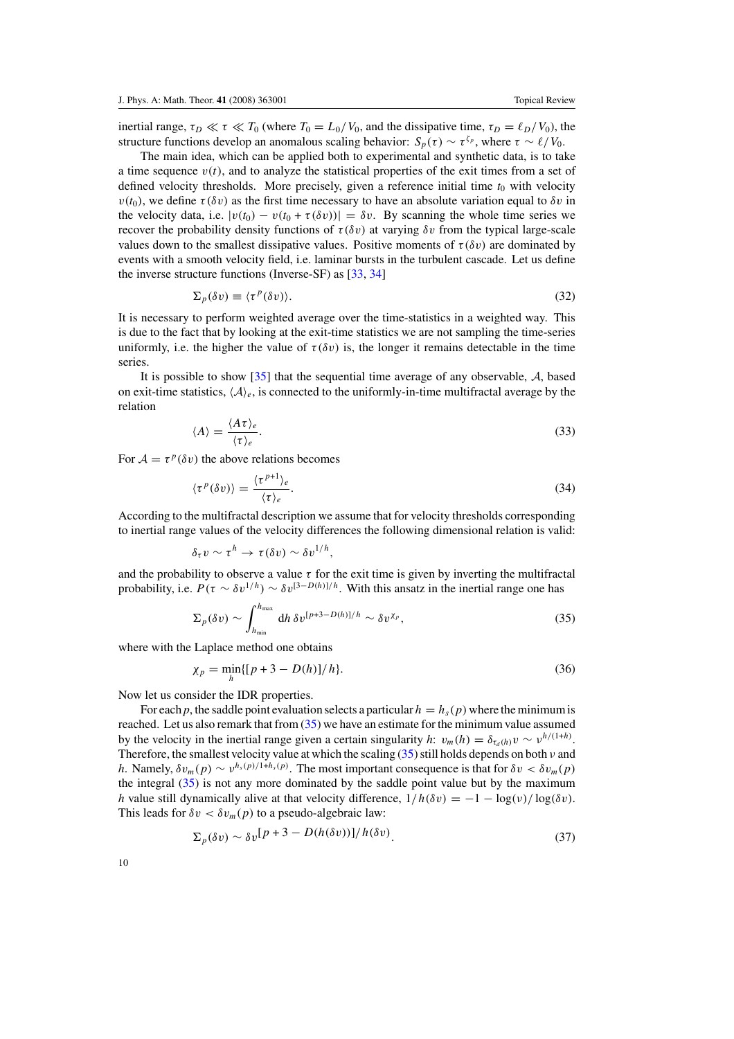<span id="page-10-0"></span>inertial range,  $\tau_D \ll \tau \ll T_0$  (where  $T_0 = L_0/V_0$ , and the dissipative time,  $\tau_D = \ell_D/V_0$ ), the structure functions develop an anomalous scaling behavior:  $S_p(\tau) \sim \tau^{\zeta_p}$ , where  $\tau \sim \ell/V_0$ .

The main idea, which can be applied both to experimental and synthetic data, is to take a time sequence  $v(t)$ , and to analyze the statistical properties of the exit times from a set of defined velocity thresholds. More precisely, given a reference initial time  $t_0$  with velocity  $v(t_0)$ , we define  $\tau(\delta v)$  as the first time necessary to have an absolute variation equal to  $\delta v$  in the velocity data, i.e.  $|v(t_0) - v(t_0 + \tau(\delta v))| = \delta v$ . By scanning the whole time series we recover the probability density functions of  $\tau$ (δ*v*) at varying δ*v* from the typical large-scale values down to the smallest dissipative values. Positive moments of  $\tau(\delta v)$  are dominated by events with a smooth velocity field, i.e. laminar bursts in the turbulent cascade. Let us define the inverse structure functions (Inverse-SF) as [\[33,](#page-25-0) [34\]](#page-25-0)

$$
\Sigma_p(\delta v) \equiv \langle \tau^p(\delta v) \rangle. \tag{32}
$$

It is necessary to perform weighted average over the time-statistics in a weighted way. This is due to the fact that by looking at the exit-time statistics we are not sampling the time-series uniformly, i.e. the higher the value of  $\tau(\delta v)$  is, the longer it remains detectable in the time series.

It is possible to show  $\lceil 35 \rceil$  that the sequential time average of any observable, A, based on exit-time statistics,  $\langle A \rangle_e$ , is connected to the uniformly-in-time multifractal average by the relation

$$
\langle A \rangle = \frac{\langle A \tau \rangle_e}{\langle \tau \rangle_e}.
$$
\n(33)

For  $A = \tau^p(\delta v)$  the above relations becomes

$$
\langle \tau^p(\delta v) \rangle = \frac{\langle \tau^{p+1} \rangle_e}{\langle \tau \rangle_e}.
$$
\n(34)

According to the multifractal description we assume that for velocity thresholds corresponding to inertial range values of the velocity differences the following dimensional relation is valid:

$$
\delta_{\tau} v \sim \tau^h \to \tau(\delta v) \sim \delta v^{1/h},
$$

and the probability to observe a value  $\tau$  for the exit time is given by inverting the multifractal probability, i.e.  $P(\tau \sim \delta v^{1/h}) \sim \delta v^{[3-D(h)]/h}$ . With this ansatz in the inertial range one has

$$
\Sigma_p(\delta v) \sim \int_{h_{\min}}^{h_{\max}} dh \, \delta v^{[p+3-D(h)]/h} \sim \delta v^{\chi_p},\tag{35}
$$

where with the Laplace method one obtains

$$
\chi_p = \min_h \{ [p+3 - D(h)]/h \}. \tag{36}
$$

Now let us consider the IDR properties.

For each *p*, the saddle point evaluation selects a particular  $h = h_s(p)$  where the minimum is reached. Let us also remark that from (35) we have an estimate for the minimum value assumed by the velocity in the inertial range given a certain singularity  $h: v_m(h) = \delta_{\tau_a(h)} v \sim v^{h/(1+h)}$ . Therefore, the smallest velocity value at which the scaling (35) still holds depends on both *ν* and *h*. Namely,  $\delta v_m(p) \sim v^{h_s(p)/1+h_s(p)}$ . The most important consequence is that for  $\delta v < \delta v_m(p)$ the integral  $(35)$  is not any more dominated by the saddle point value but by the maximum *h* value still dynamically alive at that velocity difference,  $1/h(\delta v) = -1 - \log(v)/\log(\delta v)$ . This leads for  $\delta v < \delta v_m(p)$  to a pseudo-algebraic law:

$$
\Sigma_p(\delta v) \sim \delta v \left[ P + 3 - D(h(\delta v)) \right] / h(\delta v). \tag{37}
$$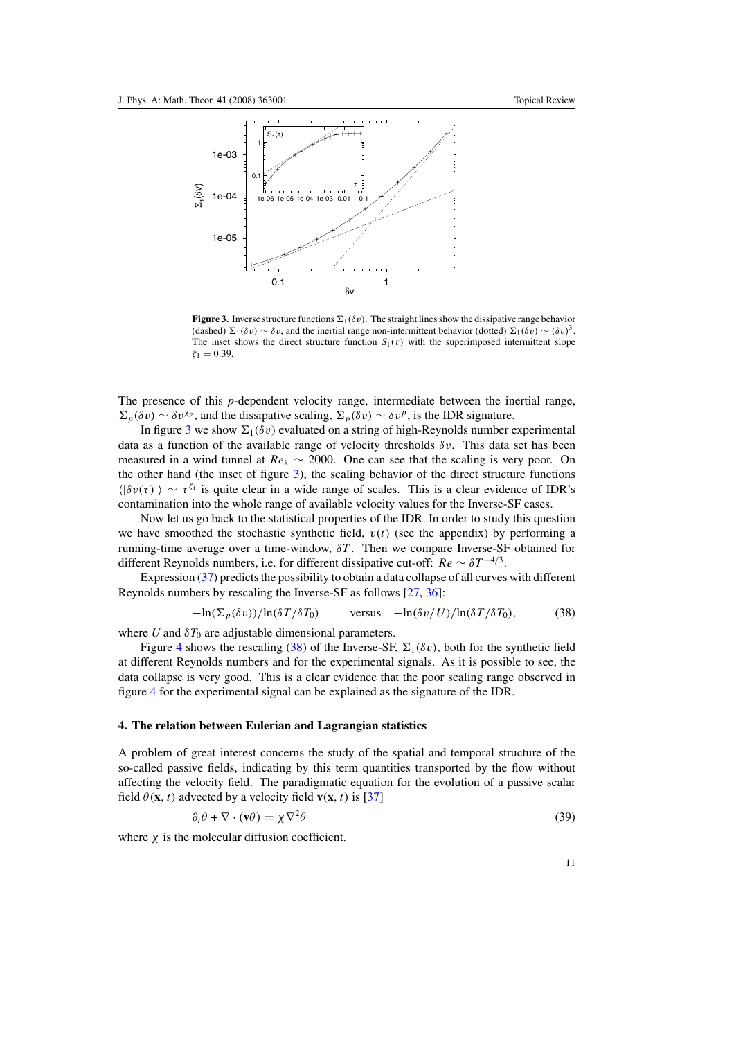<span id="page-11-0"></span>

**Figure 3.** Inverse structure functions  $\Sigma_1(\delta v)$ . The straight lines show the dissipative range behavior (dashed)  $\Sigma_1(\delta v) \sim \delta v$ , and the inertial range non-intermittent behavior (dotted)  $\Sigma_1(\delta v) \sim (\delta v)^3$ . The inset shows the direct structure function  $S_1(\tau)$  with the superimposed intermittent slope  $\zeta_1 = 0.39$ .

The presence of this *p*-dependent velocity range, intermediate between the inertial range,  $\sum_{p}(\delta v) \sim \delta v^{\chi_p}$ , and the dissipative scaling,  $\sum_{p}(\delta v) \sim \delta v^p$ , is the IDR signature.

In figure 3 we show  $\Sigma_1(\delta v)$  evaluated on a string of high-Reynolds number experimental data as a function of the available range of velocity thresholds *δv*. This data set has been measured in a wind tunnel at  $Re_\lambda \sim 2000$ . One can see that the scaling is very poor. On the other hand (the inset of figure 3), the scaling behavior of the direct structure functions  $\langle |\delta v(\tau)| \rangle \sim \tau^{\zeta_1}$  is quite clear in a wide range of scales. This is a clear evidence of IDR's contamination into the whole range of available velocity values for the Inverse-SF cases.

Now let us go back to the statistical properties of the IDR. In order to study this question we have smoothed the stochastic synthetic field,  $v(t)$  (see the appendix) by performing a running-time average over a time-window, *δT* . Then we compare Inverse-SF obtained for different Reynolds numbers, i.e. for different dissipative cut-off:  $Re \sim \delta T^{-4/3}$ .

Expression [\(37\)](#page-10-0) predicts the possibility to obtain a data collapse of all curves with different Reynolds numbers by rescaling the Inverse-SF as follows [\[27](#page-24-0), [36](#page-25-0)]:

$$
-\ln(\Sigma_p(\delta v))/\ln(\delta T/\delta T_0) \qquad \text{versus} \quad -\ln(\delta v/U)/\ln(\delta T/\delta T_0), \tag{38}
$$

where *U* and  $\delta T_0$  are adjustable dimensional parameters.

Figure [4](#page-12-0) shows the rescaling (38) of the Inverse-SF,  $\Sigma_1(\delta v)$ , both for the synthetic field at different Reynolds numbers and for the experimental signals. As it is possible to see, the data collapse is very good. This is a clear evidence that the poor scaling range observed in figure [4](#page-12-0) for the experimental signal can be explained as the signature of the IDR.

#### **4. The relation between Eulerian and Lagrangian statistics**

A problem of great interest concerns the study of the spatial and temporal structure of the so-called passive fields, indicating by this term quantities transported by the flow without affecting the velocity field. The paradigmatic equation for the evolution of a passive scalar field  $\theta$ (**x***,t*) advected by a velocity field **v**(**x***,t*) is [\[37\]](#page-25-0)

$$
\partial_t \theta + \nabla \cdot (\mathbf{v}\theta) = \chi \nabla^2 \theta \tag{39}
$$

where  $\chi$  is the molecular diffusion coefficient.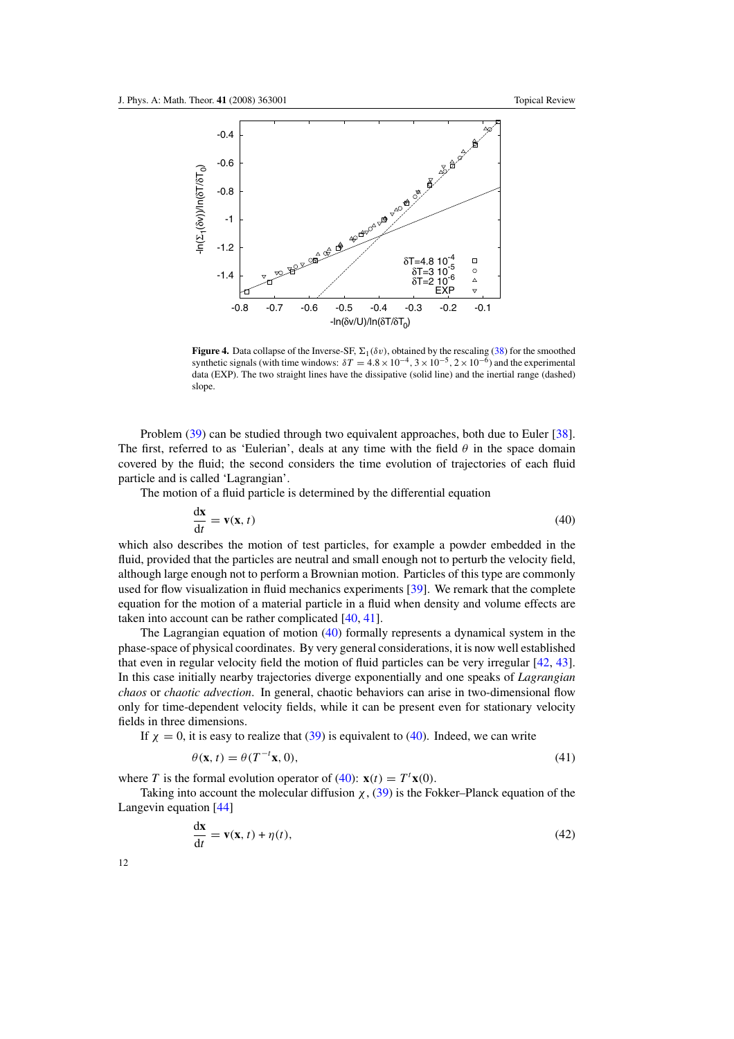<span id="page-12-0"></span>

**Figure 4.** Data collapse of the Inverse-SF,  $\Sigma_1(\delta v)$ , obtained by the rescaling [\(38\)](#page-11-0) for the smoothed synthetic signals (with time windows:  $\delta T = 4.8 \times 10^{-4}$ ,  $3 \times 10^{-5}$ ,  $2 \times 10^{-6}$ ) and the experimental data (EXP). The two straight lines have the dissipative (solid line) and the inertial range (dashed) slope.

Problem [\(39\)](#page-11-0) can be studied through two equivalent approaches, both due to Euler [\[38\]](#page-25-0). The first, referred to as 'Eulerian', deals at any time with the field  $\theta$  in the space domain covered by the fluid; the second considers the time evolution of trajectories of each fluid particle and is called 'Lagrangian'.

The motion of a fluid particle is determined by the differential equation

$$
\frac{d\mathbf{x}}{dt} = \mathbf{v}(\mathbf{x}, t) \tag{40}
$$

which also describes the motion of test particles, for example a powder embedded in the fluid, provided that the particles are neutral and small enough not to perturb the velocity field, although large enough not to perform a Brownian motion. Particles of this type are commonly used for flow visualization in fluid mechanics experiments [\[39\]](#page-25-0). We remark that the complete equation for the motion of a material particle in a fluid when density and volume effects are taken into account can be rather complicated [\[40,](#page-25-0) [41\]](#page-25-0).

The Lagrangian equation of motion (40) formally represents a dynamical system in the phase-space of physical coordinates. By very general considerations, it is now well established that even in regular velocity field the motion of fluid particles can be very irregular [\[42](#page-25-0), [43\]](#page-25-0). In this case initially nearby trajectories diverge exponentially and one speaks of *Lagrangian chaos* or *chaotic advection*. In general, chaotic behaviors can arise in two-dimensional flow only for time-dependent velocity fields, while it can be present even for stationary velocity fields in three dimensions.

If  $\chi = 0$ , it is easy to realize that [\(39\)](#page-11-0) is equivalent to (40). Indeed, we can write

$$
\theta(\mathbf{x}, t) = \theta(T^{-t}\mathbf{x}, 0),\tag{41}
$$

where *T* is the formal evolution operator of (40):  $\mathbf{x}(t) = T^t \mathbf{x}(0)$ .

Taking into account the molecular diffusion *χ*, [\(39\)](#page-11-0) is the Fokker–Planck equation of the Langevin equation [\[44\]](#page-25-0)

$$
\frac{d\mathbf{x}}{dt} = \mathbf{v}(\mathbf{x}, t) + \eta(t),\tag{42}
$$

12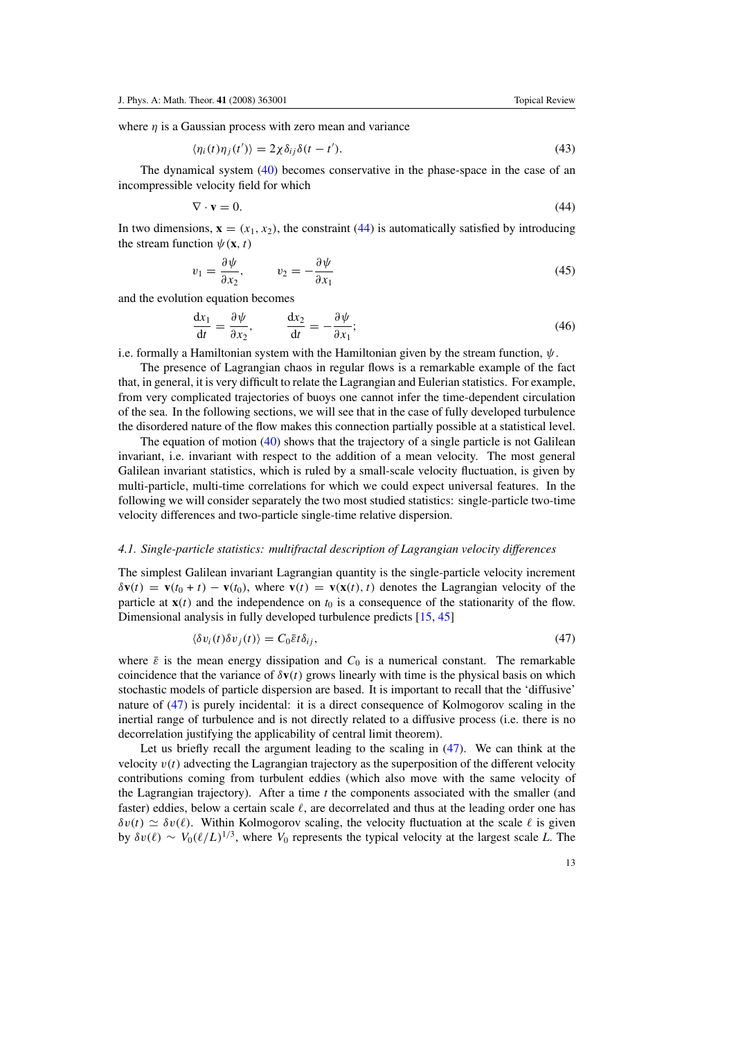<span id="page-13-0"></span>where  $\eta$  is a Gaussian process with zero mean and variance

$$
\langle \eta_i(t)\eta_j(t')\rangle = 2\chi \delta_{ij}\delta(t-t'). \tag{43}
$$

The dynamical system [\(40\)](#page-12-0) becomes conservative in the phase-space in the case of an incompressible velocity field for which

$$
\nabla \cdot \mathbf{v} = 0. \tag{44}
$$

In two dimensions,  $\mathbf{x} = (x_1, x_2)$ , the constraint (44) is automatically satisfied by introducing the stream function  $\psi(\mathbf{x}, t)$ 

$$
v_1 = \frac{\partial \psi}{\partial x_2}, \qquad v_2 = -\frac{\partial \psi}{\partial x_1} \tag{45}
$$

and the evolution equation becomes

$$
\frac{\mathrm{d}x_1}{\mathrm{d}t} = \frac{\partial \psi}{\partial x_2}, \qquad \frac{\mathrm{d}x_2}{\mathrm{d}t} = -\frac{\partial \psi}{\partial x_1};\tag{46}
$$

i.e. formally a Hamiltonian system with the Hamiltonian given by the stream function, *ψ*.

The presence of Lagrangian chaos in regular flows is a remarkable example of the fact that, in general, it is very difficult to relate the Lagrangian and Eulerian statistics. For example, from very complicated trajectories of buoys one cannot infer the time-dependent circulation of the sea. In the following sections, we will see that in the case of fully developed turbulence the disordered nature of the flow makes this connection partially possible at a statistical level.

The equation of motion  $(40)$  shows that the trajectory of a single particle is not Galilean invariant, i.e. invariant with respect to the addition of a mean velocity. The most general Galilean invariant statistics, which is ruled by a small-scale velocity fluctuation, is given by multi-particle, multi-time correlations for which we could expect universal features. In the following we will consider separately the two most studied statistics: single-particle two-time velocity differences and two-particle single-time relative dispersion.

#### *4.1. Single-particle statistics: multifractal description of Lagrangian velocity differences*

The simplest Galilean invariant Lagrangian quantity is the single-particle velocity increment  $\delta$ **v**(t) = **v**(t<sub>0</sub> + t) – **v**(t<sub>0</sub>), where **v**(t) = **v**(**x**(t), t) denotes the Lagrangian velocity of the particle at  $\mathbf{x}(t)$  and the independence on  $t_0$  is a consequence of the stationarity of the flow. Dimensional analysis in fully developed turbulence predicts [\[15](#page-24-0), [45](#page-25-0)]

$$
\langle \delta v_i(t) \delta v_j(t) \rangle = C_0 \bar{\varepsilon} t \delta_{ij},\tag{47}
$$

where  $\bar{\varepsilon}$  is the mean energy dissipation and  $C_0$  is a numerical constant. The remarkable coincidence that the variance of  $\delta v(t)$  grows linearly with time is the physical basis on which stochastic models of particle dispersion are based. It is important to recall that the 'diffusive' nature of (47) is purely incidental: it is a direct consequence of Kolmogorov scaling in the inertial range of turbulence and is not directly related to a diffusive process (i.e. there is no decorrelation justifying the applicability of central limit theorem).

Let us briefly recall the argument leading to the scaling in (47). We can think at the velocity  $v(t)$  advecting the Lagrangian trajectory as the superposition of the different velocity contributions coming from turbulent eddies (which also move with the same velocity of the Lagrangian trajectory). After a time *t* the components associated with the smaller (and faster) eddies, below a certain scale  $\ell$ , are decorrelated and thus at the leading order one has  $\delta v(t) \simeq \delta v(\ell)$ . Within Kolmogorov scaling, the velocity fluctuation at the scale  $\ell$  is given by *δv*( $\ell$ ) ∼ *V*<sub>0</sub>( $\ell/L$ )<sup>1/3</sup>, where *V*<sub>0</sub> represents the typical velocity at the largest scale *L*. The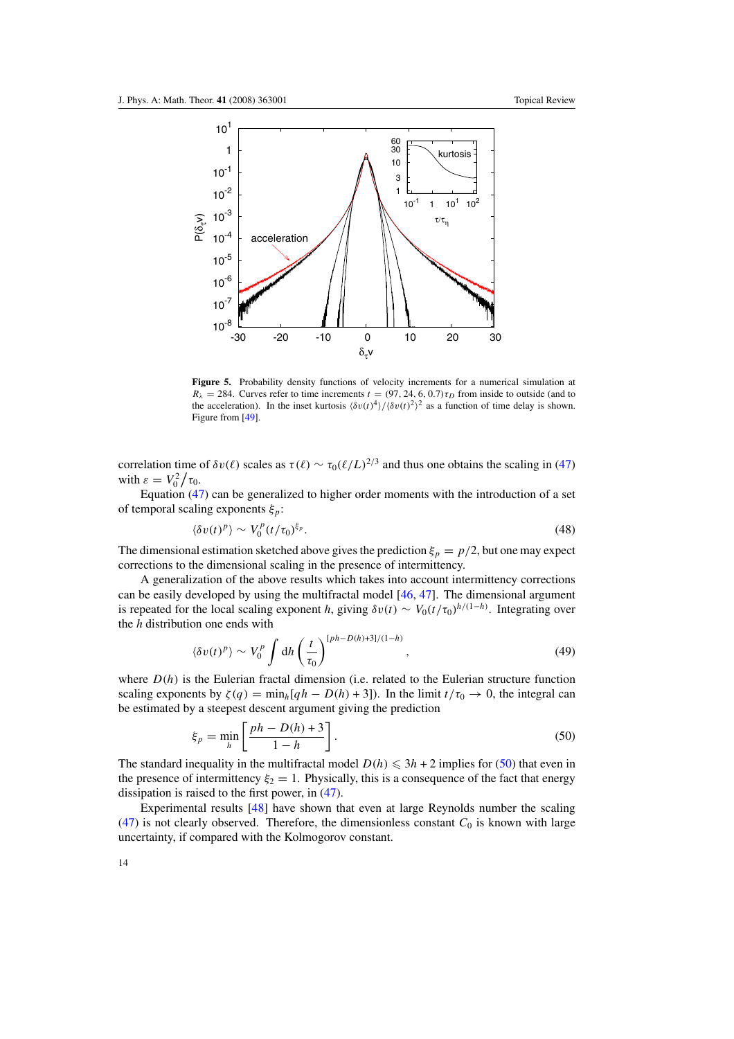<span id="page-14-0"></span>

**Figure 5.** Probability density functions of velocity increments for a numerical simulation at  $R_{\lambda} = 284$ . Curves refer to time increments  $t = (97, 24, 6, 0.7) \tau_D$  from inside to outside (and to the acceleration). In the inset kurtosis  $\langle \delta v(t)^4 \rangle / \langle \delta v(t)^2 \rangle^2$  as a function of time delay is shown. Figure from [\[49\]](#page-25-0).

correlation time of  $\delta v(\ell)$  scales as  $\tau(\ell) \sim \tau_0(\ell/L)^{2/3}$  and thus one obtains the scaling in [\(47\)](#page-13-0) with  $\varepsilon = V_0^2 / \tau_0$ .

Equation [\(47\)](#page-13-0) can be generalized to higher order moments with the introduction of a set of temporal scaling exponents *ξp*:

$$
\langle \delta v(t)^p \rangle \sim V_0^p(t/\tau_0)^{\xi_p}.\tag{48}
$$

The dimensional estimation sketched above gives the prediction  $\xi_p = p/2$ , but one may expect corrections to the dimensional scaling in the presence of intermittency.

A generalization of the above results which takes into account intermittency corrections can be easily developed by using the multifractal model [\[46,](#page-25-0) [47\]](#page-25-0). The dimensional argument is repeated for the local scaling exponent *h*, giving  $\delta v(t) \sim V_0(t/\tau_0)^{h/(1-h)}$ . Integrating over the *h* distribution one ends with

$$
\langle \delta v(t)^p \rangle \sim V_0^p \int \mathrm{d}h \left(\frac{t}{\tau_0}\right)^{\left[ ph - D(h) + 3 \right]/(1-h)},\tag{49}
$$

where  $D(h)$  is the Eulerian fractal dimension (i.e. related to the Eulerian structure function scaling exponents by  $\zeta(q) = \min_h[qh - D(h) + 3]$ . In the limit  $t/\tau_0 \to 0$ , the integral can be estimated by a steepest descent argument giving the prediction

$$
\xi_p = \min_h \left[ \frac{ph - D(h) + 3}{1 - h} \right].
$$
\n(50)

The standard inequality in the multifractal model  $D(h) \leq 3h + 2$  implies for (50) that even in the presence of intermittency  $\xi_2 = 1$ . Physically, this is a consequence of the fact that energy dissipation is raised to the first power, in [\(47\)](#page-13-0).

Experimental results [\[48](#page-25-0)] have shown that even at large Reynolds number the scaling [\(47\)](#page-13-0) is not clearly observed. Therefore, the dimensionless constant  $C_0$  is known with large uncertainty, if compared with the Kolmogorov constant.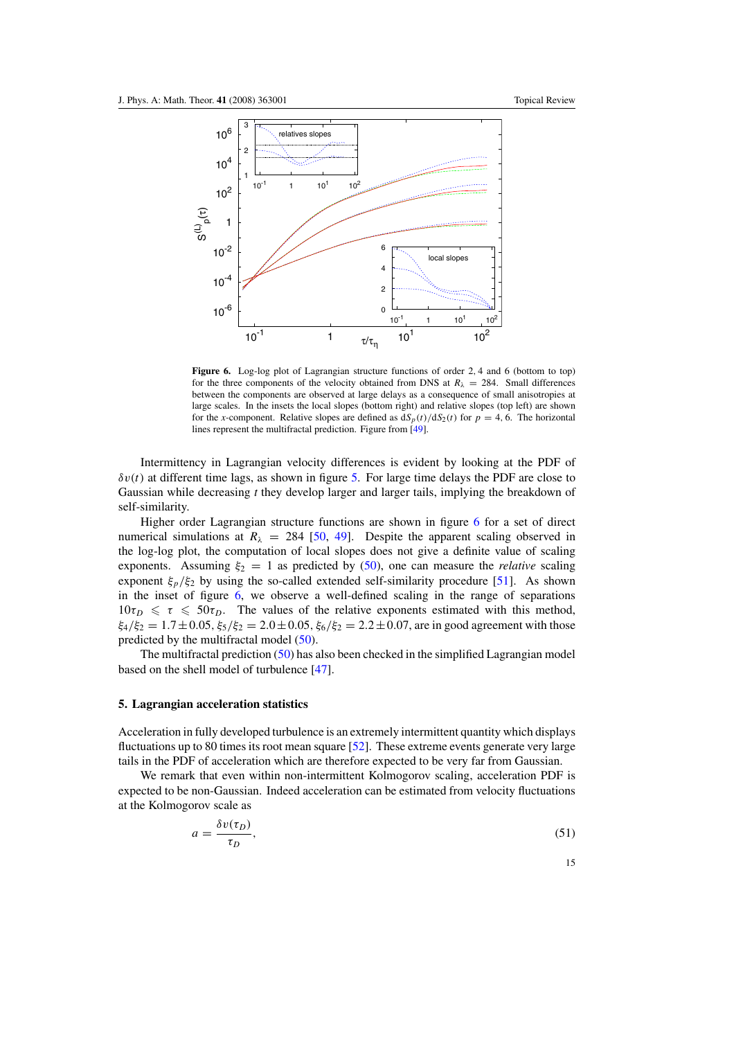<span id="page-15-0"></span>

**Figure 6.** Log-log plot of Lagrangian structure functions of order 2*,* 4 and 6 (bottom to top) for the three components of the velocity obtained from DNS at  $R_\lambda = 284$ . Small differences between the components are observed at large delays as a consequence of small anisotropies at large scales. In the insets the local slopes (bottom right) and relative slopes (top left) are shown for the *x*-component. Relative slopes are defined as  $dS_p(t)/dS_2(t)$  for  $p = 4, 6$ . The horizontal lines represent the multifractal prediction. Figure from [\[49\]](#page-25-0).

Intermittency in Lagrangian velocity differences is evident by looking at the PDF of  $\delta v(t)$  at different time lags, as shown in figure [5.](#page-14-0) For large time delays the PDF are close to Gaussian while decreasing *t* they develop larger and larger tails, implying the breakdown of self-similarity.

Higher order Lagrangian structure functions are shown in figure 6 for a set of direct numerical simulations at  $R_{\lambda} = 284$  [\[50](#page-25-0), [49](#page-25-0)]. Despite the apparent scaling observed in the log-log plot, the computation of local slopes does not give a definite value of scaling exponents. Assuming  $\xi_2 = 1$  as predicted by [\(50\)](#page-14-0), one can measure the *relative* scaling exponent  $\xi_p/\xi_2$  by using the so-called extended self-similarity procedure [\[51\]](#page-25-0). As shown in the inset of figure 6, we observe a well-defined scaling in the range of separations  $10\tau_D \le \tau \le 50\tau_D$ . The values of the relative exponents estimated with this method,  $\xi_4/\xi_2 = 1.7 \pm 0.05$ ,  $\xi_5/\xi_2 = 2.0 \pm 0.05$ ,  $\xi_6/\xi_2 = 2.2 \pm 0.07$ , are in good agreement with those predicted by the multifractal model [\(50\)](#page-14-0).

The multifractal prediction [\(50\)](#page-14-0) has also been checked in the simplified Lagrangian model based on the shell model of turbulence [\[47](#page-25-0)].

#### **5. Lagrangian acceleration statistics**

Acceleration in fully developed turbulence is an extremely intermittent quantity which displays fluctuations up to 80 times its root mean square [\[52\]](#page-25-0). These extreme events generate very large tails in the PDF of acceleration which are therefore expected to be very far from Gaussian.

We remark that even within non-intermittent Kolmogorov scaling, acceleration PDF is expected to be non-Gaussian. Indeed acceleration can be estimated from velocity fluctuations at the Kolmogorov scale as

$$
a = \frac{\delta v(\tau_D)}{\tau_D},\tag{51}
$$

15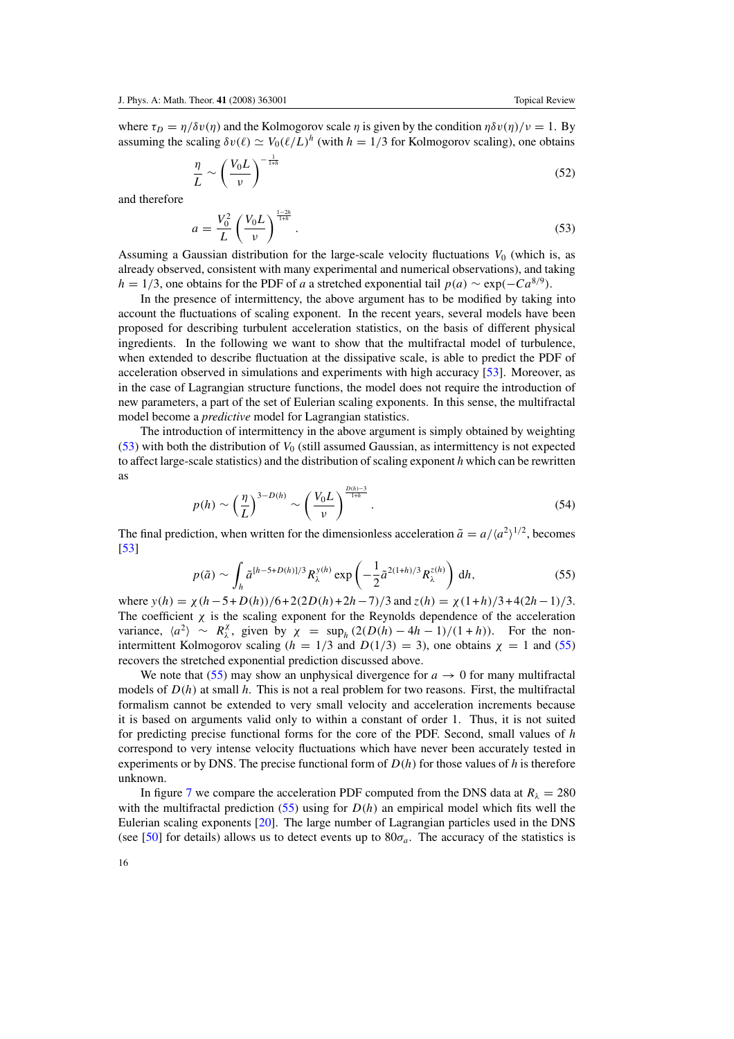<span id="page-16-0"></span>where  $\tau_D = \eta/\delta v(\eta)$  and the Kolmogorov scale  $\eta$  is given by the condition  $\eta \delta v(\eta)/v = 1$ . By assuming the scaling  $\delta v(\ell) \simeq V_0(\ell/L)^h$  (with  $h = 1/3$  for Kolmogorov scaling), one obtains

$$
\frac{\eta}{L} \sim \left(\frac{V_0 L}{\nu}\right)^{-\frac{1}{1+h}}\tag{52}
$$

and therefore

$$
a = \frac{V_0^2}{L} \left(\frac{V_0 L}{\nu}\right)^{\frac{1-2h}{1+h}}.
$$
\n(53)

Assuming a Gaussian distribution for the large-scale velocity fluctuations  $V_0$  (which is, as already observed, consistent with many experimental and numerical observations), and taking  $h = 1/3$ , one obtains for the PDF of *a* a stretched exponential tail  $p(a) \sim \exp(-Ca^{8/9})$ .

In the presence of intermittency, the above argument has to be modified by taking into account the fluctuations of scaling exponent. In the recent years, several models have been proposed for describing turbulent acceleration statistics, on the basis of different physical ingredients. In the following we want to show that the multifractal model of turbulence, when extended to describe fluctuation at the dissipative scale, is able to predict the PDF of acceleration observed in simulations and experiments with high accuracy [\[53\]](#page-25-0). Moreover, as in the case of Lagrangian structure functions, the model does not require the introduction of new parameters, a part of the set of Eulerian scaling exponents. In this sense, the multifractal model become a *predictive* model for Lagrangian statistics.

The introduction of intermittency in the above argument is simply obtained by weighting  $(53)$  with both the distribution of  $V_0$  (still assumed Gaussian, as intermittency is not expected to affect large-scale statistics) and the distribution of scaling exponent *h* which can be rewritten as

$$
p(h) \sim \left(\frac{\eta}{L}\right)^{3-D(h)} \sim \left(\frac{V_0 L}{\nu}\right)^{\frac{D(h)-3}{1+h}}.\tag{54}
$$

The final prediction, when written for the dimensionless acceleration  $\tilde{a} = a/(a^2)^{1/2}$ , becomes [\[53](#page-25-0)]

$$
p(\tilde{a}) \sim \int_h \tilde{a}^{[h-5+D(h)]/3} R_\lambda^{y(h)} \exp\left(-\frac{1}{2}\tilde{a}^{2(1+h)/3} R_\lambda^{z(h)}\right) dh,\tag{55}
$$

where  $y(h) = \chi(h - 5 + D(h))/6 + 2(2D(h) + 2h - 7)/3$  and  $z(h) = \chi(1+h)/3 + 4(2h - 1)/3$ . The coefficient  $\chi$  is the scaling exponent for the Reynolds dependence of the acceleration variance,  $\langle a^2 \rangle \sim R_\lambda^{\chi}$ , given by  $\chi = \sup_h (2(D(h) - 4h - 1)/(1 + h))$ . For the nonintermittent Kolmogorov scaling ( $h = 1/3$  and  $D(1/3) = 3$ ), one obtains  $\chi = 1$  and (55) recovers the stretched exponential prediction discussed above.

We note that (55) may show an unphysical divergence for  $a \to 0$  for many multifractal models of *D(h)* at small *h*. This is not a real problem for two reasons. First, the multifractal formalism cannot be extended to very small velocity and acceleration increments because it is based on arguments valid only to within a constant of order 1. Thus, it is not suited for predicting precise functional forms for the core of the PDF. Second, small values of *h* correspond to very intense velocity fluctuations which have never been accurately tested in experiments or by DNS. The precise functional form of *D(h)* for those values of *h* is therefore unknown.

In figure [7](#page-17-0) we compare the acceleration PDF computed from the DNS data at  $R_{\lambda} = 280$ with the multifractal prediction  $(55)$  using for  $D(h)$  an empirical model which fits well the Eulerian scaling exponents [\[20\]](#page-24-0). The large number of Lagrangian particles used in the DNS (see [\[50](#page-25-0)] for details) allows us to detect events up to  $80\sigma_a$ . The accuracy of the statistics is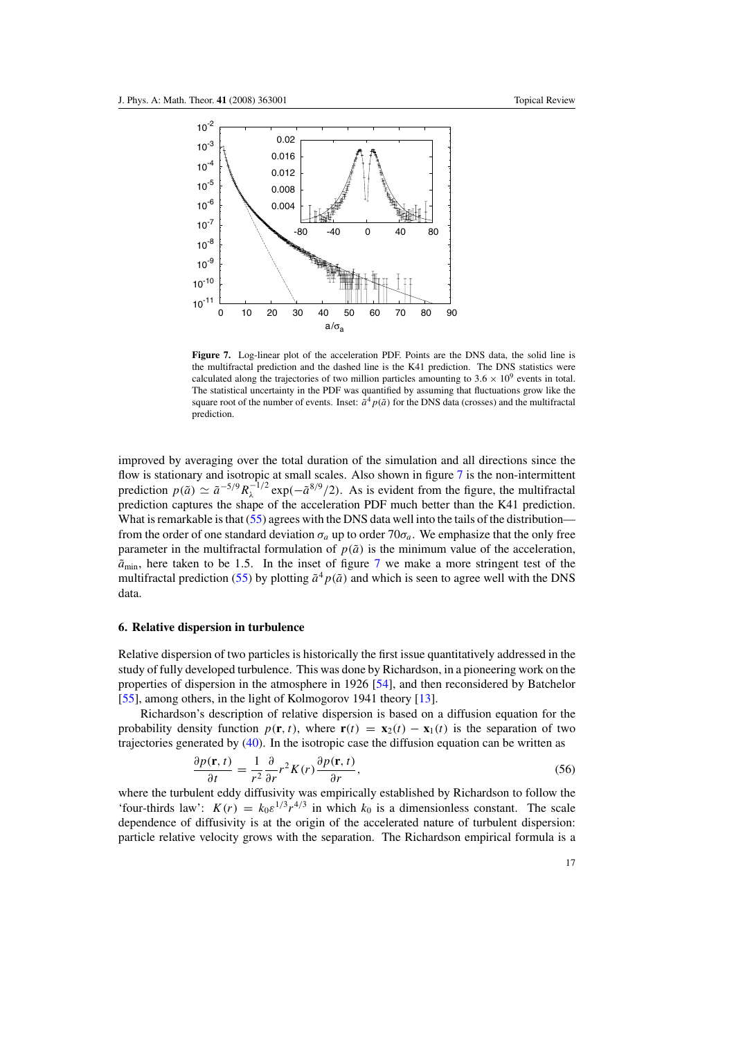<span id="page-17-0"></span>

**Figure 7.** Log-linear plot of the acceleration PDF. Points are the DNS data, the solid line is the multifractal prediction and the dashed line is the K41 prediction. The DNS statistics were calculated along the trajectories of two million particles amounting to  $3.6 \times 10^9$  events in total. The statistical uncertainty in the PDF was quantified by assuming that fluctuations grow like the square root of the number of events. Inset:  $\tilde{a}^4 p(\tilde{a})$  for the DNS data (crosses) and the multifractal prediction.

improved by averaging over the total duration of the simulation and all directions since the flow is stationary and isotropic at small scales. Also shown in figure 7 is the non-intermittent prediction  $p(\tilde{a}) \simeq \tilde{a}^{-5/9} R_{\lambda}^{-1/2} \exp(-\tilde{a}^{8/9}/2)$ . As is evident from the figure, the multifractal prediction captures the shape of the acceleration PDF much better than the K41 prediction. What is remarkable is that [\(55\)](#page-16-0) agrees with the DNS data well into the tails of the distribution from the order of one standard deviation  $\sigma_a$  up to order 70 $\sigma_a$ . We emphasize that the only free parameter in the multifractal formulation of  $p(\tilde{a})$  is the minimum value of the acceleration,  $\tilde{a}_{\text{min}}$ , here taken to be 1.5. In the inset of figure 7 we make a more stringent test of the multifractal prediction [\(55\)](#page-16-0) by plotting  $\tilde{a}^4 p(\tilde{a})$  and which is seen to agree well with the DNS data.

#### **6. Relative dispersion in turbulence**

Relative dispersion of two particles is historically the first issue quantitatively addressed in the study of fully developed turbulence. This was done by Richardson, in a pioneering work on the properties of dispersion in the atmosphere in 1926 [\[54](#page-25-0)], and then reconsidered by Batchelor [\[55](#page-25-0)], among others, in the light of Kolmogorov 1941 theory [\[13](#page-24-0)].

Richardson's description of relative dispersion is based on a diffusion equation for the probability density function  $p(\mathbf{r},t)$ , where  $\mathbf{r}(t) = \mathbf{x}_2(t) - \mathbf{x}_1(t)$  is the separation of two trajectories generated by [\(40\)](#page-12-0). In the isotropic case the diffusion equation can be written as

$$
\frac{\partial p(\mathbf{r},t)}{\partial t} = \frac{1}{r^2} \frac{\partial}{\partial r} r^2 K(r) \frac{\partial p(\mathbf{r},t)}{\partial r},\tag{56}
$$

where the turbulent eddy diffusivity was empirically established by Richardson to follow the 'four-thirds law':  $K(r) = k_0 \varepsilon^{1/3} r^{4/3}$  in which  $k_0$  is a dimensionless constant. The scale dependence of diffusivity is at the origin of the accelerated nature of turbulent dispersion: particle relative velocity grows with the separation. The Richardson empirical formula is a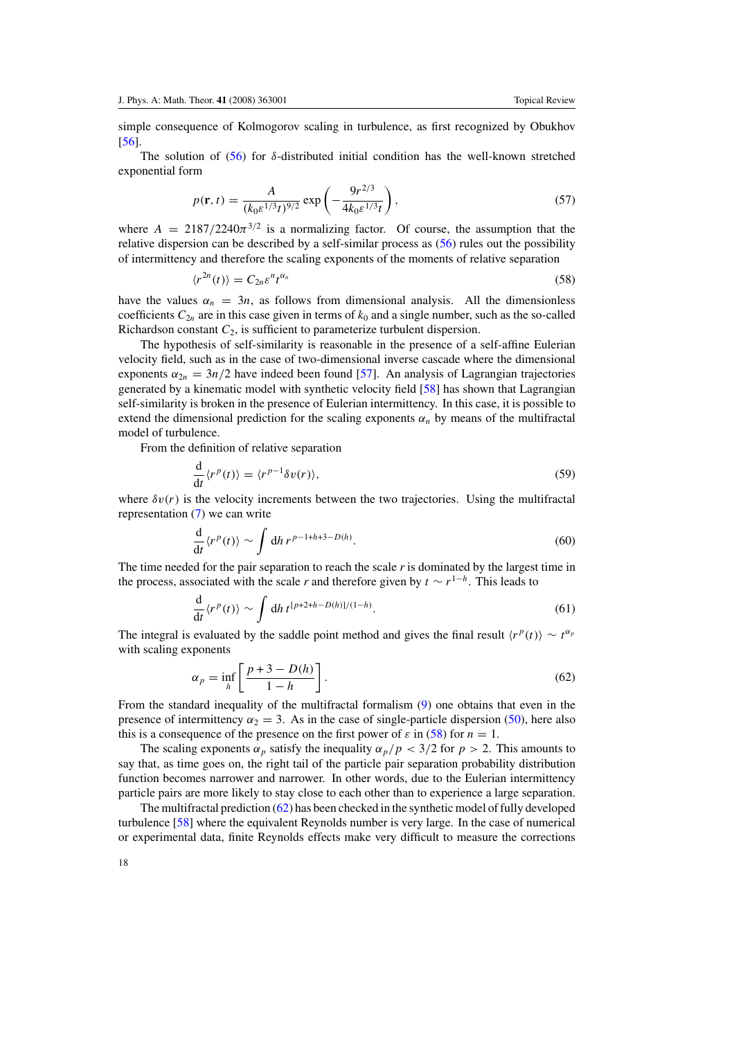<span id="page-18-0"></span>simple consequence of Kolmogorov scaling in turbulence, as first recognized by Obukhov [\[56](#page-25-0)].

The solution of  $(56)$  for  $\delta$ -distributed initial condition has the well-known stretched exponential form

$$
p(\mathbf{r}, t) = \frac{A}{(k_0 \varepsilon^{1/3} t)^{9/2}} \exp\left(-\frac{9r^{2/3}}{4k_0 \varepsilon^{1/3} t}\right),\tag{57}
$$

where  $A = 2187/2240\pi^{3/2}$  is a normalizing factor. Of course, the assumption that the relative dispersion can be described by a self-similar process as [\(56\)](#page-17-0) rules out the possibility of intermittency and therefore the scaling exponents of the moments of relative separation

$$
\langle r^{2n}(t) \rangle = C_{2n} \varepsilon^n t^{\alpha_n} \tag{58}
$$

have the values  $\alpha_n = 3n$ , as follows from dimensional analysis. All the dimensionless coefficients  $C_{2n}$  are in this case given in terms of  $k_0$  and a single number, such as the so-called Richardson constant *C*2, is sufficient to parameterize turbulent dispersion.

The hypothesis of self-similarity is reasonable in the presence of a self-affine Eulerian velocity field, such as in the case of two-dimensional inverse cascade where the dimensional exponents  $\alpha_{2n} = 3n/2$  have indeed been found [\[57](#page-25-0)]. An analysis of Lagrangian trajectories generated by a kinematic model with synthetic velocity field [\[58](#page-25-0)] has shown that Lagrangian self-similarity is broken in the presence of Eulerian intermittency. In this case, it is possible to extend the dimensional prediction for the scaling exponents  $\alpha_n$  by means of the multifractal model of turbulence.

From the definition of relative separation

$$
\frac{\mathrm{d}}{\mathrm{d}t} \langle r^p(t) \rangle = \langle r^{p-1} \delta v(r) \rangle,\tag{59}
$$

where  $\delta v(r)$  is the velocity increments between the two trajectories. Using the multifractal representation [\(7\)](#page-4-0) we can write

$$
\frac{\mathrm{d}}{\mathrm{d}t} \langle r^p(t) \rangle \sim \int \mathrm{d}h \, r^{p-1+h+3-D(h)}.\tag{60}
$$

The time needed for the pair separation to reach the scale  $r$  is dominated by the largest time in the process, associated with the scale *r* and therefore given by  $t \sim r^{1-h}$ . This leads to

$$
\frac{\mathrm{d}}{\mathrm{d}t} \langle r^p(t) \rangle \sim \int \mathrm{d}h \, t^{[p+2+h-D(h)]/(1-h)}.\tag{61}
$$

The integral is evaluated by the saddle point method and gives the final result  $\langle r^p(t) \rangle \sim t^{\alpha_p}$ with scaling exponents

$$
\alpha_p = \inf_h \left[ \frac{p+3-D(h)}{1-h} \right].
$$
\n(62)

From the standard inequality of the multifractal formalism [\(9\)](#page-4-0) one obtains that even in the presence of intermittency  $\alpha_2 = 3$ . As in the case of single-particle dispersion [\(50\)](#page-14-0), here also this is a consequence of the presence on the first power of  $\varepsilon$  in (58) for  $n = 1$ .

The scaling exponents  $\alpha_p$  satisfy the inequality  $\alpha_p/p < 3/2$  for  $p > 2$ . This amounts to say that, as time goes on, the right tail of the particle pair separation probability distribution function becomes narrower and narrower. In other words, due to the Eulerian intermittency particle pairs are more likely to stay close to each other than to experience a large separation.

The multifractal prediction (62) has been checked in the synthetic model of fully developed turbulence [\[58](#page-25-0)] where the equivalent Reynolds number is very large. In the case of numerical or experimental data, finite Reynolds effects make very difficult to measure the corrections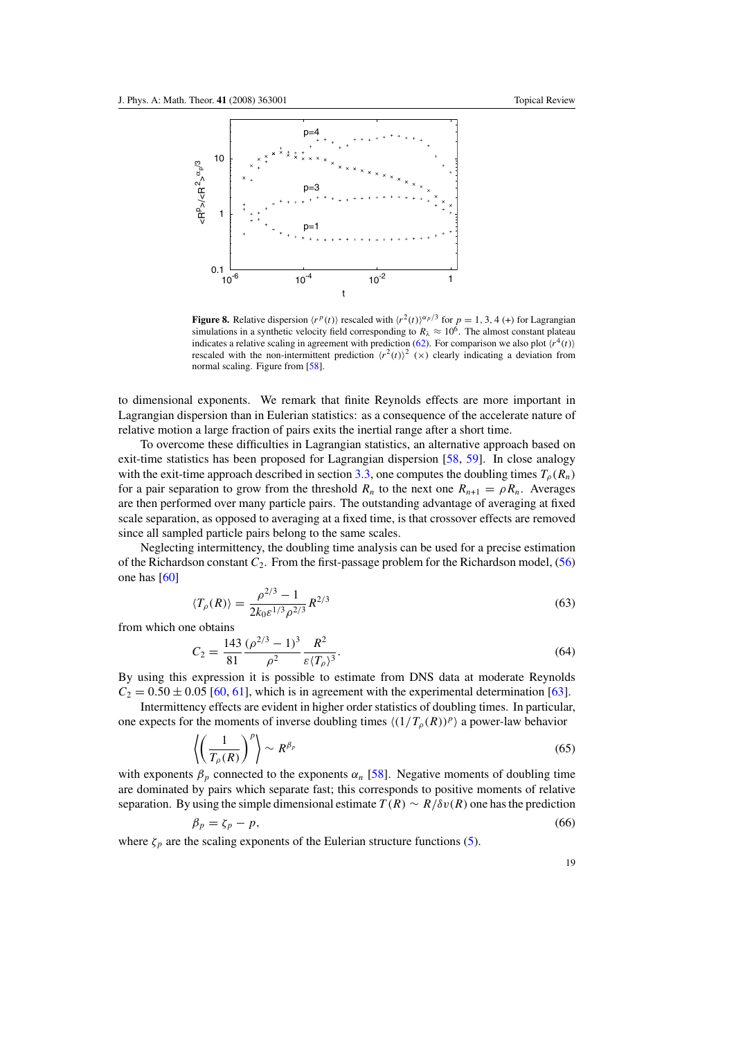<span id="page-19-0"></span>

**Figure 8.** Relative dispersion  $\langle r^p(t) \rangle$  rescaled with  $\langle r^2(t) \rangle^{\alpha_p/3}$  for  $p = 1, 3, 4$  (+) for Lagrangian simulations in a synthetic velocity field corresponding to  $R_\lambda \approx 10^6$ . The almost constant plateau indicates a relative scaling in agreement with prediction [\(62\)](#page-18-0). For comparison we also plot  $\langle r^4(t) \rangle$ rescaled with the non-intermittent prediction  $\langle r^2(t) \rangle^2$  (x) clearly indicating a deviation from normal scaling. Figure from [\[58\]](#page-25-0).

to dimensional exponents. We remark that finite Reynolds effects are more important in Lagrangian dispersion than in Eulerian statistics: as a consequence of the accelerate nature of relative motion a large fraction of pairs exits the inertial range after a short time.

To overcome these difficulties in Lagrangian statistics, an alternative approach based on exit-time statistics has been proposed for Lagrangian dispersion [\[58](#page-25-0), [59\]](#page-25-0). In close analogy with the exit-time approach described in section [3.3,](#page-9-0) one computes the doubling times  $T_p(R_n)$ for a pair separation to grow from the threshold  $R_n$  to the next one  $R_{n+1} = \rho R_n$ . Averages are then performed over many particle pairs. The outstanding advantage of averaging at fixed scale separation, as opposed to averaging at a fixed time, is that crossover effects are removed since all sampled particle pairs belong to the same scales.

Neglecting intermittency, the doubling time analysis can be used for a precise estimation of the Richardson constant *C*2. From the first-passage problem for the Richardson model, [\(56\)](#page-17-0) one has [\[60\]](#page-25-0)

$$
\langle T_{\rho}(R) \rangle = \frac{\rho^{2/3} - 1}{2k_0 \varepsilon^{1/3} \rho^{2/3}} R^{2/3}
$$
 (63)

from which one obtains

$$
C_2 = \frac{143}{81} \frac{(\rho^{2/3} - 1)^3}{\rho^2} \frac{R^2}{\varepsilon \langle T_\rho \rangle^3}.
$$
 (64)

By using this expression it is possible to estimate from DNS data at moderate Reynolds  $C_2 = 0.50 \pm 0.05$  [\[60](#page-25-0), [61](#page-25-0)], which is in agreement with the experimental determination [\[63](#page-25-0)].

Intermittency effects are evident in higher order statistics of doubling times. In particular, one expects for the moments of inverse doubling times  $\langle (1/T_{\rho}(R))^{p} \rangle$  a power-law behavior

$$
\left\langle \left(\frac{1}{T_{\rho}(R)}\right)^p \right\rangle \sim R^{\beta_p} \tag{65}
$$

with exponents  $\beta_p$  connected to the exponents  $\alpha_n$  [\[58](#page-25-0)]. Negative moments of doubling time are dominated by pairs which separate fast; this corresponds to positive moments of relative separation. By using the simple dimensional estimate  $T(R) \sim R/\delta v(R)$  one has the prediction

$$
\beta_p = \zeta_p - p,\tag{66}
$$

where  $\zeta_p$  are the scaling exponents of the Eulerian structure functions [\(5\)](#page-3-0).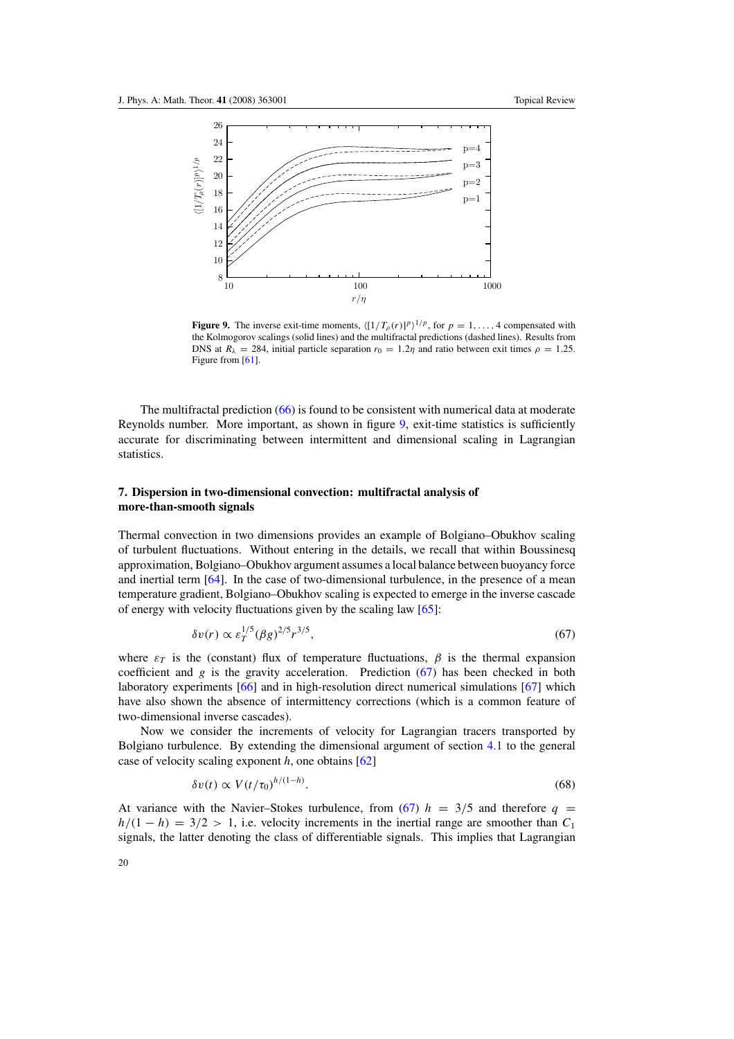<span id="page-20-0"></span>

**Figure 9.** The inverse exit-time moments,  $\langle [1/T_\rho(r)]^p \rangle^{1/p}$ , for  $p = 1, \ldots, 4$  compensated with the Kolmogorov scalings (solid lines) and the multifractal predictions (dashed lines). Results from DNS at  $R_{\lambda} = 284$ , initial particle separation  $r_0 = 1.2\eta$  and ratio between exit times  $\rho = 1.25$ . Figure from [\[61\]](#page-25-0).

The multifractal prediction [\(66\)](#page-19-0) is found to be consistent with numerical data at moderate Reynolds number. More important, as shown in figure 9, exit-time statistics is sufficiently accurate for discriminating between intermittent and dimensional scaling in Lagrangian statistics.

#### **7. Dispersion in two-dimensional convection: multifractal analysis of more-than-smooth signals**

Thermal convection in two dimensions provides an example of Bolgiano–Obukhov scaling of turbulent fluctuations. Without entering in the details, we recall that within Boussinesq approximation, Bolgiano–Obukhov argument assumes a local balance between buoyancy force and inertial term [\[64\]](#page-25-0). In the case of two-dimensional turbulence, in the presence of a mean temperature gradient, Bolgiano–Obukhov scaling is expected to emerge in the inverse cascade of energy with velocity fluctuations given by the scaling law [\[65\]](#page-25-0):

$$
\delta v(r) \propto \varepsilon_T^{1/5} (\beta g)^{2/5} r^{3/5},\tag{67}
$$

where  $\varepsilon_T$  is the (constant) flux of temperature fluctuations,  $\beta$  is the thermal expansion coefficient and *g* is the gravity acceleration. Prediction (67) has been checked in both laboratory experiments [\[66](#page-25-0)] and in high-resolution direct numerical simulations [\[67\]](#page-25-0) which have also shown the absence of intermittency corrections (which is a common feature of two-dimensional inverse cascades).

Now we consider the increments of velocity for Lagrangian tracers transported by Bolgiano turbulence. By extending the dimensional argument of section [4.1](#page-13-0) to the general case of velocity scaling exponent *h*, one obtains [\[62\]](#page-25-0)

$$
\delta v(t) \propto V(t/\tau_0)^{h/(1-h)}.\tag{68}
$$

At variance with the Navier–Stokes turbulence, from (67)  $h = 3/5$  and therefore  $q =$  $h/(1-h) = 3/2 > 1$ , i.e. velocity increments in the inertial range are smoother than  $C_1$ signals, the latter denoting the class of differentiable signals. This implies that Lagrangian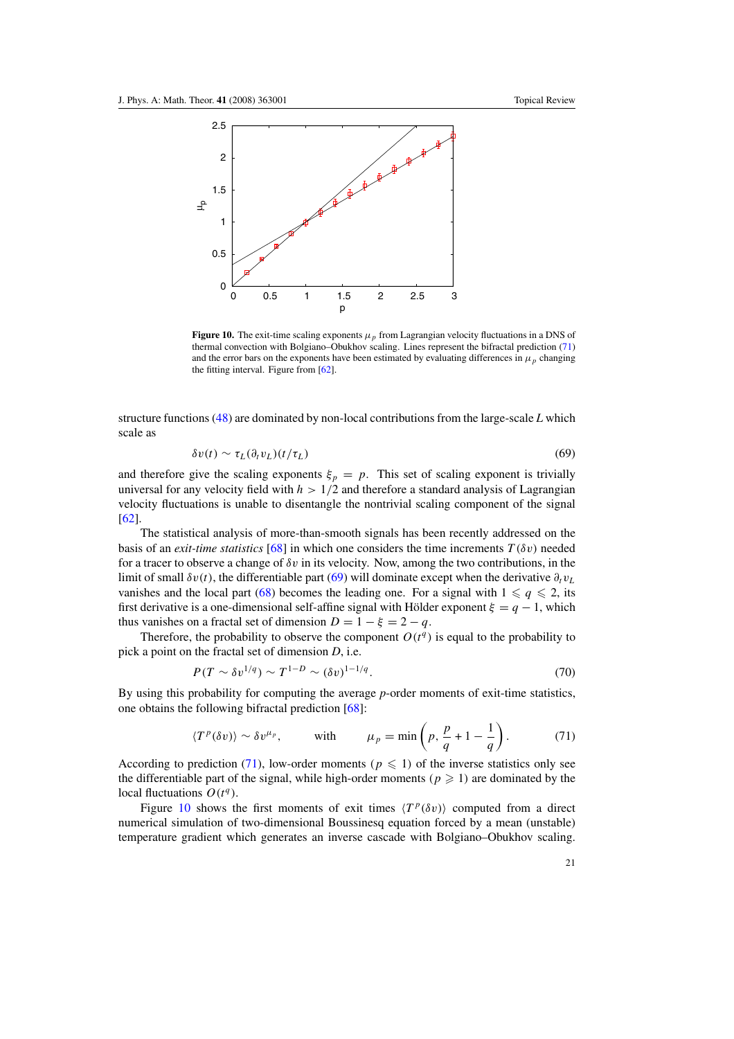<span id="page-21-0"></span>

**Figure 10.** The exit-time scaling exponents  $\mu_p$  from Lagrangian velocity fluctuations in a DNS of thermal convection with Bolgiano–Obukhov scaling. Lines represent the bifractal prediction (71) and the error bars on the exponents have been estimated by evaluating differences in  $\mu_p$  changing the fitting interval. Figure from [\[62](#page-25-0)].

structure functions [\(48\)](#page-14-0) are dominated by non-local contributions from the large-scale *L* which scale as

$$
\delta v(t) \sim \tau_L(\partial_t v_L)(t/\tau_L) \tag{69}
$$

and therefore give the scaling exponents  $\xi_p = p$ . This set of scaling exponent is trivially universal for any velocity field with  $h > 1/2$  and therefore a standard analysis of Lagrangian velocity fluctuations is unable to disentangle the nontrivial scaling component of the signal [\[62](#page-25-0)].

The statistical analysis of more-than-smooth signals has been recently addressed on the basis of an *exit-time statistics* [\[68](#page-25-0)] in which one considers the time increments  $T(\delta v)$  needed for a tracer to observe a change of  $\delta v$  in its velocity. Now, among the two contributions, in the limit of small  $\delta v(t)$ , the differentiable part (69) will dominate except when the derivative  $\partial_t v_L$ vanishes and the local part [\(68\)](#page-20-0) becomes the leading one. For a signal with  $1 \leq q \leq 2$ , its first derivative is a one-dimensional self-affine signal with Hölder exponent  $\xi = q - 1$ , which thus vanishes on a fractal set of dimension  $D = 1 - \xi = 2 - q$ .

Therefore, the probability to observe the component  $O(t^q)$  is equal to the probability to pick a point on the fractal set of dimension *D*, i.e.

$$
P(T \sim \delta v^{1/q}) \sim T^{1-D} \sim (\delta v)^{1-1/q}.
$$
\n(70)

By using this probability for computing the average *p*-order moments of exit-time statistics, one obtains the following bifractal prediction [\[68\]](#page-25-0):

$$
\langle T^p(\delta v) \rangle \sim \delta v^{\mu_p}, \qquad \text{with} \qquad \mu_p = \min \left( p, \frac{p}{q} + 1 - \frac{1}{q} \right). \tag{71}
$$

According to prediction (71), low-order moments ( $p \leq 1$ ) of the inverse statistics only see the differentiable part of the signal, while high-order moments  $(p \geq 1)$  are dominated by the local fluctuations  $O(t^q)$ .

Figure 10 shows the first moments of exit times  $\langle T^p(\delta v) \rangle$  computed from a direct numerical simulation of two-dimensional Boussinesq equation forced by a mean (unstable) temperature gradient which generates an inverse cascade with Bolgiano–Obukhov scaling.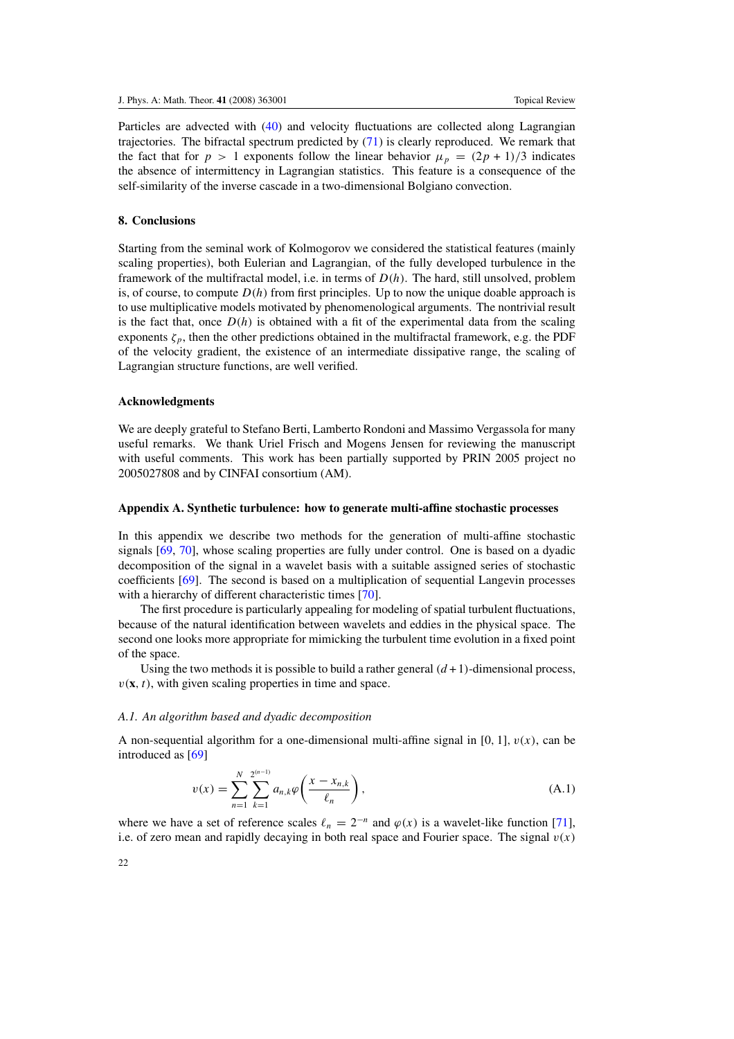<span id="page-22-0"></span>Particles are advected with [\(40\)](#page-12-0) and velocity fluctuations are collected along Lagrangian trajectories. The bifractal spectrum predicted by  $(71)$  is clearly reproduced. We remark that the fact that for  $p > 1$  exponents follow the linear behavior  $\mu_p = (2p + 1)/3$  indicates the absence of intermittency in Lagrangian statistics. This feature is a consequence of the self-similarity of the inverse cascade in a two-dimensional Bolgiano convection.

#### **8. Conclusions**

Starting from the seminal work of Kolmogorov we considered the statistical features (mainly scaling properties), both Eulerian and Lagrangian, of the fully developed turbulence in the framework of the multifractal model, i.e. in terms of *D(h)*. The hard, still unsolved, problem is, of course, to compute  $D(h)$  from first principles. Up to now the unique doable approach is to use multiplicative models motivated by phenomenological arguments. The nontrivial result is the fact that, once  $D(h)$  is obtained with a fit of the experimental data from the scaling exponents  $\zeta_p$ , then the other predictions obtained in the multifractal framework, e.g. the PDF of the velocity gradient, the existence of an intermediate dissipative range, the scaling of Lagrangian structure functions, are well verified.

#### **Acknowledgments**

We are deeply grateful to Stefano Berti, Lamberto Rondoni and Massimo Vergassola for many useful remarks. We thank Uriel Frisch and Mogens Jensen for reviewing the manuscript with useful comments. This work has been partially supported by PRIN 2005 project no 2005027808 and by CINFAI consortium (AM).

#### **Appendix A. Synthetic turbulence: how to generate multi-affine stochastic processes**

In this appendix we describe two methods for the generation of multi-affine stochastic signals [\[69,](#page-25-0) [70](#page-25-0)], whose scaling properties are fully under control. One is based on a dyadic decomposition of the signal in a wavelet basis with a suitable assigned series of stochastic coefficients [\[69\]](#page-25-0). The second is based on a multiplication of sequential Langevin processes with a hierarchy of different characteristic times [\[70](#page-25-0)].

The first procedure is particularly appealing for modeling of spatial turbulent fluctuations, because of the natural identification between wavelets and eddies in the physical space. The second one looks more appropriate for mimicking the turbulent time evolution in a fixed point of the space.

Using the two methods it is possible to build a rather general  $(d+1)$ -dimensional process,  $v(\mathbf{x}, t)$ , with given scaling properties in time and space.

#### *A.1. An algorithm based and dyadic decomposition*

A non-sequential algorithm for a one-dimensional multi-affine signal in [0, 1],  $v(x)$ , can be introduced as [\[69](#page-25-0)]

$$
v(x) = \sum_{n=1}^{N} \sum_{k=1}^{2^{(n-1)}} a_{n,k} \varphi\left(\frac{x - x_{n,k}}{\ell_n}\right),
$$
 (A.1)

where we have a set of reference scales  $\ell_n = 2^{-n}$  and  $\varphi(x)$  is a wavelet-like function [\[71\]](#page-25-0), i.e. of zero mean and rapidly decaying in both real space and Fourier space. The signal  $v(x)$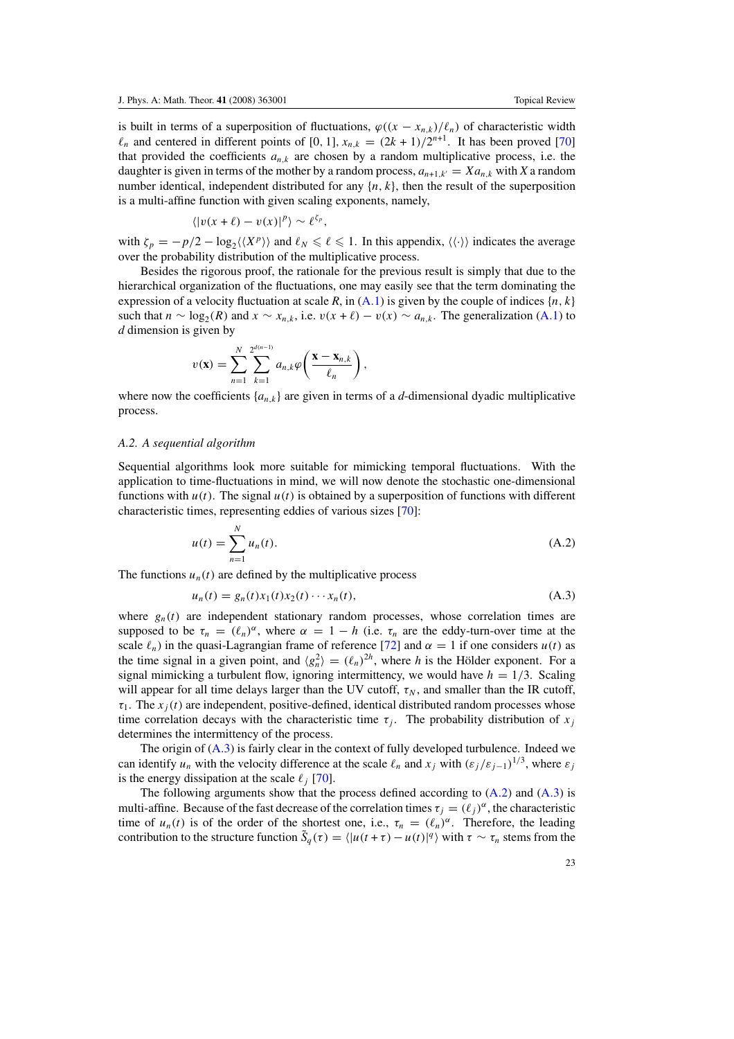<span id="page-23-0"></span>is built in terms of a superposition of fluctuations,  $\varphi((x - x_{n,k})/\ell_n)$  of characteristic width  $\ell_n$  and centered in different points of [0, 1],  $x_{n,k} = (2k+1)/2^{n+1}$ . It has been proved [\[70](#page-25-0)] that provided the coefficients  $a_{n,k}$  are chosen by a random multiplicative process, i.e. the daughter is given in terms of the mother by a random process,  $a_{n+1,k'} = X a_n$ , with X a random number identical, independent distributed for any  $\{n, k\}$ , then the result of the superposition is a multi-affine function with given scaling exponents, namely,

$$
\langle |v(x+\ell)-v(x)|^p \rangle \sim \ell^{\zeta_p},
$$

with  $\zeta_p = -p/2 - \log_2(\langle X^p \rangle)$  and  $\ell_N \le \ell \le 1$ . In this appendix,  $\langle \langle \cdot \rangle \rangle$  indicates the average over the probability distribution of the multiplicative process.

Besides the rigorous proof, the rationale for the previous result is simply that due to the hierarchical organization of the fluctuations, one may easily see that the term dominating the expression of a velocity fluctuation at scale *R*, in  $(A.1)$  $(A.1)$  is given by the couple of indices  $\{n, k\}$ such that  $n \sim \log_2(R)$  and  $x \sim x_{n,k}$ , i.e.  $v(x + \ell) - v(x) \sim a_{n,k}$ . The generalization [\(A](#page-22-0).1) to *d* dimension is given by

$$
v(\mathbf{x}) = \sum_{n=1}^{N} \sum_{k=1}^{2^{d(n-1)}} a_{n,k} \varphi\left(\frac{\mathbf{x} - \mathbf{x}_{n,k}}{\ell_n}\right)
$$

where now the coefficients  ${a_{n,k}}$  are given in terms of a *d*-dimensional dyadic multiplicative process.

*,*

#### *A.2. A sequential algorithm*

Sequential algorithms look more suitable for mimicking temporal fluctuations. With the application to time-fluctuations in mind, we will now denote the stochastic one-dimensional functions with  $u(t)$ . The signal  $u(t)$  is obtained by a superposition of functions with different characteristic times, representing eddies of various sizes [\[70](#page-25-0)]:

$$
u(t) = \sum_{n=1}^{N} u_n(t).
$$
 (A.2)

The functions  $u_n(t)$  are defined by the multiplicative process

$$
u_n(t) = g_n(t)x_1(t)x_2(t) \cdots x_n(t),
$$
\n(A.3)

where  $g_n(t)$  are independent stationary random processes, whose correlation times are supposed to be  $\tau_n = (\ell_n)^{\alpha}$ , where  $\alpha = 1 - h$  (i.e.  $\tau_n$  are the eddy-turn-over time at the scale  $\ell_n$ ) in the quasi-Lagrangian frame of reference [\[72\]](#page-25-0) and  $\alpha = 1$  if one considers  $u(t)$  as the time signal in a given point, and  $\langle g_n^2 \rangle = (\ell_n)^{2h}$ , where *h* is the Hölder exponent. For a signal mimicking a turbulent flow, ignoring intermittency, we would have  $h = 1/3$ . Scaling will appear for all time delays larger than the UV cutoff,  $\tau_N$ , and smaller than the IR cutoff,  $\tau_1$ . The  $x_i(t)$  are independent, positive-defined, identical distributed random processes whose time correlation decays with the characteristic time  $\tau_j$ . The probability distribution of  $x_j$ determines the intermittency of the process.

The origin of  $(A.3)$  is fairly clear in the context of fully developed turbulence. Indeed we can identify  $u_n$  with the velocity difference at the scale  $\ell_n$  and  $x_j$  with  $(\varepsilon_j/\varepsilon_{j-1})^{1/3}$ , where  $\varepsilon_j$ is the energy dissipation at the scale  $\ell_i$  [\[70](#page-25-0)].

The following arguments show that the process defined according to (A*.*2) and (A*.*3) is multi-affine. Because of the fast decrease of the correlation times  $\tau_i = (\ell_i)^{\alpha}$ , the characteristic time of  $u_n(t)$  is of the order of the shortest one, i.e.,  $\tau_n = (\ell_n)^{\alpha}$ . Therefore, the leading contribution to the structure function  $\tilde{S}_q(\tau) = \langle |u(t+\tau) - u(t)|^q \rangle$  with  $\tau \sim \tau_n$  stems from the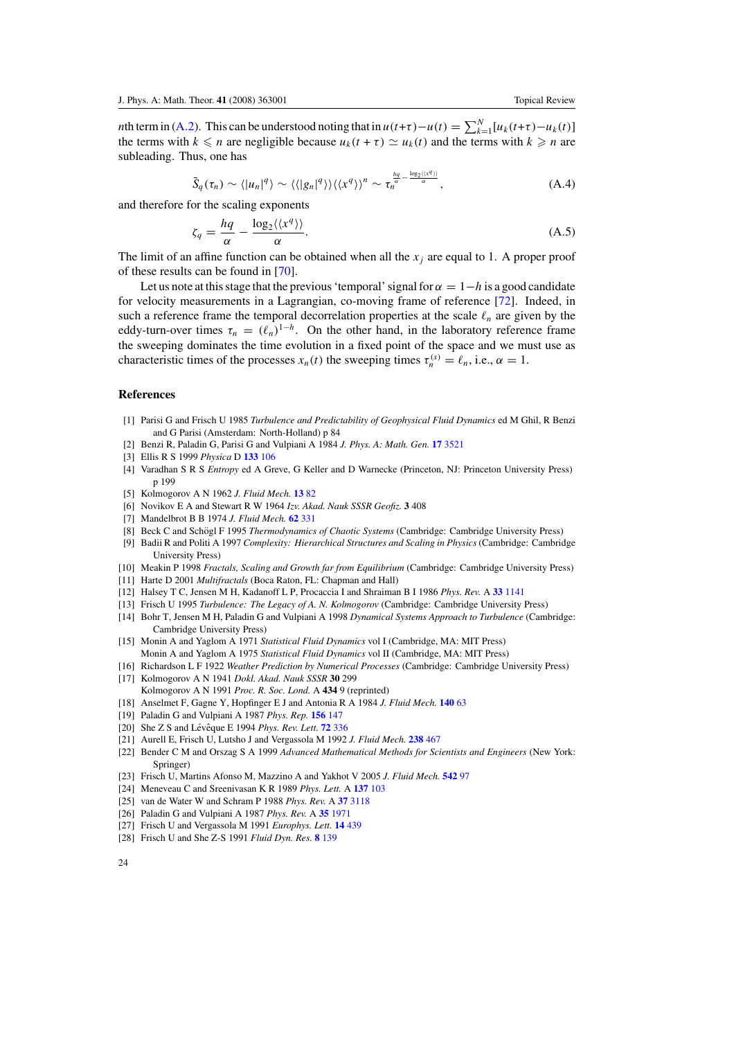<span id="page-24-0"></span>*n*th term in [\(A](#page-23-0).2). This can be understood noting that in  $u(t+\tau) - u(t) = \sum_{k=1}^{N} [u_k(t+\tau) - u_k(t)]$ the terms with  $k \leq n$  are negligible because  $u_k(t + \tau) \simeq u_k(t)$  and the terms with  $k \geq n$  are subleading. Thus, one has

$$
\tilde{S}_q(\tau_n) \sim \langle |u_n|^q \rangle \sim \langle \langle |g_n|^q \rangle \rangle \langle \langle x^q \rangle \rangle^n \sim \tau_n^{\frac{hq}{\alpha} - \frac{\log_2 \langle \langle x^q \rangle \rangle}{\alpha}}, \tag{A.4}
$$

and therefore for the scaling exponents

$$
\zeta_q = \frac{hq}{\alpha} - \frac{\log_2(\langle x^q \rangle)}{\alpha}.
$$
\n(A.5)

The limit of an affine function can be obtained when all the  $x_j$  are equal to 1. A proper proof of these results can be found in [\[70\]](#page-25-0).

Let us note at this stage that the previous 'temporal' signal for  $\alpha = 1-h$  is a good candidate for velocity measurements in a Lagrangian, co-moving frame of reference [\[72](#page-25-0)]. Indeed, in such a reference frame the temporal decorrelation properties at the scale  $\ell_n$  are given by the eddy-turn-over times  $\tau_n = (\ell_n)^{1-h}$ . On the other hand, in the laboratory reference frame the sweeping dominates the time evolution in a fixed point of the space and we must use as characteristic times of the processes  $x_n(t)$  the sweeping times  $\tau_n^{(s)} = \ell_n$ , i.e.,  $\alpha = 1$ .

#### **References**

- [1] Parisi G and Frisch U 1985 *Turbulence and Predictability of Geophysical Fluid Dynamics* ed M Ghil, R Benzi and G Parisi (Amsterdam: North-Holland) p 84
- [2] Benzi R, Paladin G, Parisi G and Vulpiani A 1984 *J. Phys. A: Math. Gen.* **17** [3521](http://dx.doi.org/10.1088/0305-4470/17/18/021)
- [3] Ellis R S 1999 *Physica* D **[133](http://dx.doi.org/10.1016/S0167-2789(99)00101-3)** 106
- [4] Varadhan S R S *Entropy* ed A Greve, G Keller and D Warnecke (Princeton, NJ: Princeton University Press) p 199
- [5] Kolmogorov A N 1962 *J. Fluid Mech.* **13** [82](http://dx.doi.org/10.1017/S0022112062000518)
- [6] Novikov E A and Stewart R W 1964 *Izv. Akad. Nauk SSSR Geofiz.* **3** 408
- [7] Mandelbrot B B 1974 *J. Fluid Mech.* **62** [331](http://dx.doi.org/10.1017/S0022112074000711)
- [8] Beck C and Schögl F 1995 Thermodynamics of Chaotic Systems (Cambridge: Cambridge University Press)
- [9] Badii R and Politi A 1997 *Complexity: Hierarchical Structures and Scaling in Physics* (Cambridge: Cambridge University Press)
- [10] Meakin P 1998 *Fractals, Scaling and Growth far from Equilibrium* (Cambridge: Cambridge University Press)
- [11] Harte D 2001 *Multifractals* (Boca Raton, FL: Chapman and Hall)
- [12] Halsey T C, Jensen M H, Kadanoff L P, Procaccia I and Shraiman B I 1986 *Phys. Rev.* A **33** [1141](http://dx.doi.org/10.1103/PhysRevA.33.1141)
- [13] Frisch U 1995 *Turbulence: The Legacy of A. N. Kolmogorov* (Cambridge: Cambridge University Press)
- [14] Bohr T, Jensen M H, Paladin G and Vulpiani A 1998 *Dynamical Systems Approach to Turbulence* (Cambridge: Cambridge University Press)
- [15] Monin A and Yaglom A 1971 *Statistical Fluid Dynamics* vol I (Cambridge, MA: MIT Press) Monin A and Yaglom A 1975 *Statistical Fluid Dynamics* vol II (Cambridge, MA: MIT Press)
- [16] Richardson L F 1922 *Weather Prediction by Numerical Processes* (Cambridge: Cambridge University Press) [17] Kolmogorov A N 1941 *Dokl. Akad. Nauk SSSR* **30** 299
- Kolmogorov A N 1991 *Proc. R. Soc. Lond.* A **434** 9 (reprinted)
- [18] Anselmet F, Gagne Y, Hopfinger E J and Antonia R A 1984 *J. Fluid Mech.* **[140](http://dx.doi.org/10.1017/S0022112084000513)** 63
- [19] Paladin G and Vulpiani A 1987 *Phys. Rep.* **[156](http://dx.doi.org/10.1016/0370-1573(87)90110-4)** 147
- [20] She Z S and Lévêque E 1994 *Phys. Rev. Lett.* **72** [336](http://dx.doi.org/10.1103/PhysRevLett.72.336)
- [21] Aurell E, Frisch U, Lutsho J and Vergassola M 1992 *J. Fluid Mech.* **[238](http://dx.doi.org/10.1017/S0022112092001782)** 467
- [22] Bender C M and Orszag S A 1999 *Advanced Mathematical Methods for Scientists and Engineers* (New York: Springer)
- [23] Frisch U, Martins Afonso M, Mazzino A and Yakhot V 2005 *J. Fluid Mech.* **[542](http://dx.doi.org/10.1017/S0022112005006178)** 97
- [24] Meneveau C and Sreenivasan K R 1989 *Phys. Lett.* A **[137](http://dx.doi.org/10.1016/0375-9601(89)90093-5)** 103
- [25] van de Water W and Schram P 1988 *Phys. Rev.* A **37** [3118](http://dx.doi.org/10.1103/PhysRevA.37.3118)
- [26] Paladin G and Vulpiani A 1987 *Phys. Rev.* A **35** [1971](http://dx.doi.org/10.1103/PhysRevA.35.1971)
- [27] Frisch U and Vergassola M 1991 *Europhys. Lett.* **14** [439](http://dx.doi.org/10.1209/0295-5075/14/5/009)
- [28] Frisch U and She Z-S 1991 *Fluid Dyn. Res.* **8** [139](http://dx.doi.org/10.1016/0169-5983(91)90038-K)